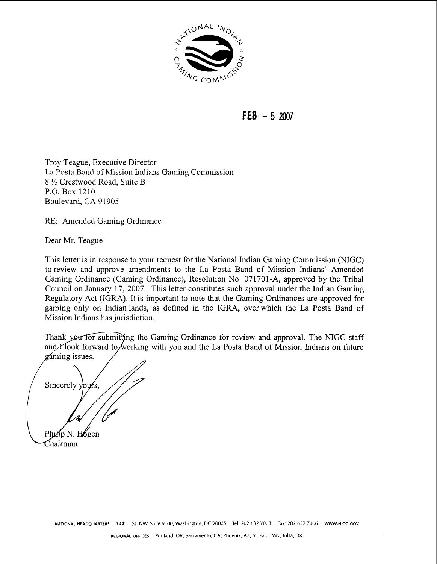

**FEB** - **<sup>5</sup>**<sup>2007</sup>

Troy Teague, Executive Director La Posta Band of Mission Indians Gaming Commission 8 **L/z** Crestwood Road, Suite B P.O. Box 1210 Boulevard, CA 91905

RE: Amended Gaming Ordinance

Dear Mr. Teague:

This letter is in response to your request for the National Indian Gaming Commission (NIGC) to review and approve amendments to the La Posta Band of Mission Indians' Amended Gaming Ordinance (Gaming Ordinance), Resolution No. 071701-A, approved by the Tribal Council on January 17, 2007. This letter constitutes such approval under the Indian Gaming Regulatory Act (IGRA). It is important to note that the Gaming Ordinances are approved for gaming only on Indian lands, as defined in the IGRA, over which the La Posta Band of Mission Indians has jurisdiction.

Thank you for submitting the Gaming Ordinance for review and approval. The NIGC staff and  $\chi$  Took forward to working with you and the La Posta Band of Mission Indians on future gaming issues.

Sincerely Philip N. Hogen Chairman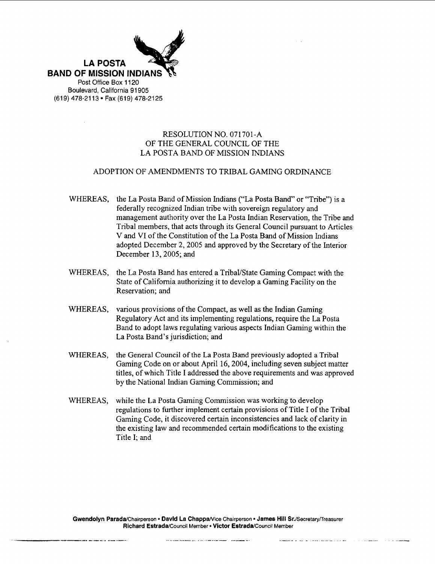

#### RESOLUTION NO. 071701-A OF THE GENERAL COUNCIL OF THE LA POSTA BAND OF MISSION INDIANS

#### ADOPTION OF AMENDMENTS TO TRIBAL GAMING ORDINANCE

- WHEREAS, the La Posta Band of Mission Indians ("La Posta Band" or "Tribe") is a federally recognized Indian tribe with sovereign regulatory and management authority over the La Posta Indian Reservation, the Tribe and Tribal members, that acts through its General Council pursuant to Articles V and VI of the Constitution of the La Posta Band of Mission Indians adopted December 2,2005 and approved by the Secretary of the Interior December 13,2005; and
- WHEREAS, the La Posta Band has entered a Tribal/State Gaming Compact with the State of California authorizing it to develop a Gaming Facility on the Reservation; and
- WHEREAS, various provisions of the Compact, as well as the Indian Gaming Regulatory Act and its implementing regulations, require the La Posta Band to adopt laws regulating various aspects Indian Gaming within the La Posta Band's jurisdiction; and
- WHEREAS, the General Council of the La Posta Band previously adopted **a** Tribal Gaming Code on or about April 16,2004, including seven subject matter titles, of which Title I addressed the above requirements and was approved by the National Indian Gaming Commission; and
- WHEREAS, while the La Posta Gaming Commission was working to develop regulations to further implement certain provisions of Title I of the Tribal Gaming Code, it discovered certain inconsistencies and lack of clarity in the existing law and recommended certain modifications to the existing Title I; and

Gwendolyn Parada/Chairperson • David La Chappa/Vice Chairperson • James Hill Sr./Secretary/Treasurer **Richard Estrada/Council Member • Victor Estrada/Council Member**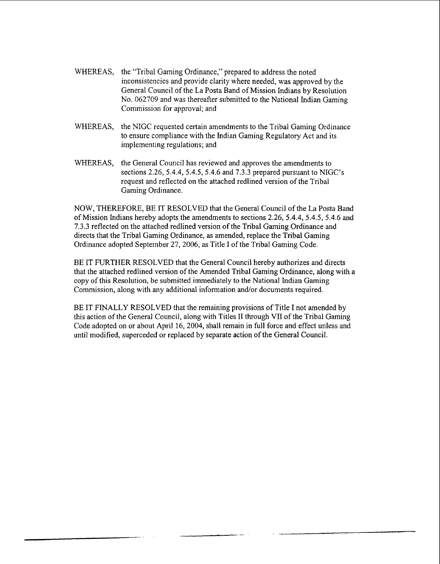- WHEREAS, the "Tribal Gaming Ordinance," prepared to address the noted inconsistencies and provide clarity where needed, was approved by the General Council of the La Posta Band of Mission Indians by Resolution No. 062709 and was thereafter submitted to the National Indian Gaming Commission for approval; and
- WHEREAS, the NIGC requested certain amendments to the Tribal Gaming Ordinance to ensure compliance with the Indian Gaming Regulatory Act and its implementing regulations; and
- WHEREAS, the General Council has reviewed and approves the amendments to sections 2.26, 5.4.4, 5.4.5, 5.4.6 and 7.3.3 prepared pursuant to NIGC's request and reflected on the attached redlined version of the Tribal Gaming Ordinance.

NOW, THEREFORE, BE IT RESOLVED that the General Council of the La Posta Band of Mission Indians hereby adopts the amendments to sections 2.26, 5.4.4, 5.4.5, 5.4.6 and 7.3.3 reflected on the attached redlined version of the Tribal Gaming Ordinance and directs that the Tribal Gaming Ordinance, as amended, replace the Tribal Gaming Ordinance adopted September 27,2006, as Title I of the Tribal Gaming Code.

BE IT FURTHER RESOLVED that the General Council hereby authorizes and directs that the attached redlined version of the Amended Tribal Gaming Ordinance, along with a copy of this Resolution, be submitted immediately to the National Indian Gaming Commission, along with any additional information and/or documents required.

BE IT FINALLY RESOLVED that the remaining provisions of Title I not amended by this action of the General Council, along with Titles **I1** through VII of the Tribal Gaming Code adopted on or about April 16,2004, shall remain in full force and effect unless and until modified, superceded or replaced by separate action of the General Council.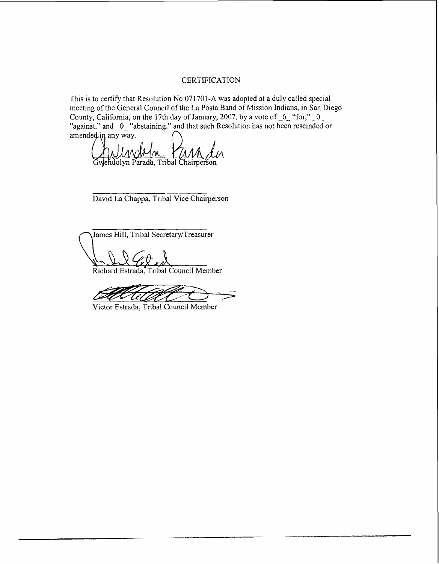#### **CERTIFICATION**

This is to certify that Resolution No 071701-A was adopted at a duly called special meeting of the General Council of the La Posta Band of Mission Indians, in San Diego County, California, on the 17th day of January, 2007, by a vote of  $-6$  "for,"  $-0$ "against," and  $\lrcorner 0$  "abstaining," and that such Resolution has not been rescinded or amended in any way.

Gwendolyn Parada, Tribal Chairperson

David La Chappa, Tribal Vice Chairperson

James Hill, Tribal Secretary/Treasurer<br>
Capearan Estrada, Tribal Council Member

Victor Estrada, Tribal Council Member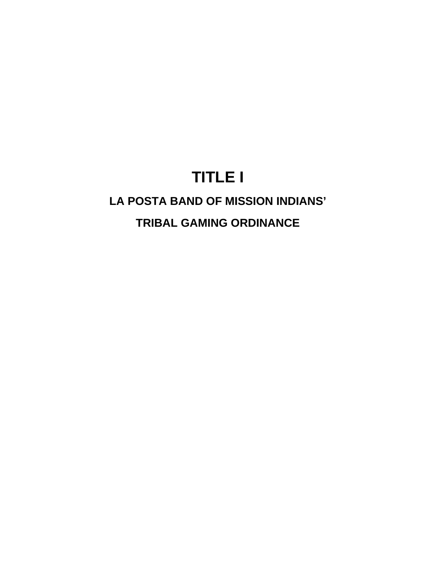# **TITLE I**

# **LA POSTA BAND OF MISSION INDIANS'**

# **TRIBAL GAMING ORDINANCE**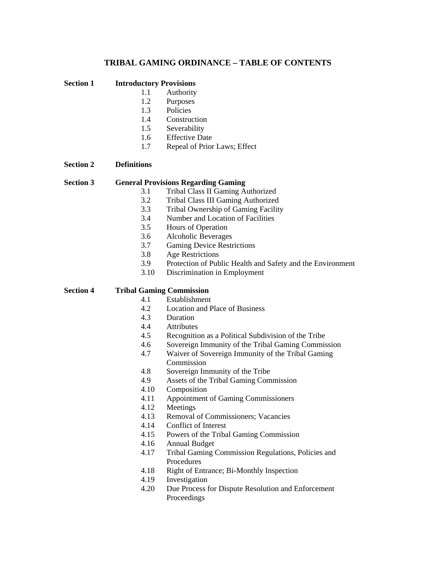#### **TRIBAL GAMING ORDINANCE – TABLE OF CONTENTS**

**Section 1 Introductory Provisions** 

- 1.1 Authority
- 1.2 Purposes
- 1.3 Policies
- 1.4 Construction
- 1.5 Severability
- 1.6 Effective Date
- 1.7 Repeal of Prior Laws; Effect

#### **Section 2 Definitions**

#### **Section 3 General Provisions Regarding Gaming**

- 3.1 Tribal Class II Gaming Authorized
- 3.2 Tribal Class III Gaming Authorized
- 3.3 Tribal Ownership of Gaming Facility
- 3.4 Number and Location of Facilities
- 3.5 Hours of Operation
- 3.6 Alcoholic Beverages
- 3.7 Gaming Device Restrictions
- 3.8 Age Restrictions
- 3.9 Protection of Public Health and Safety and the Environment
- 3.10 Discrimination in Employment

#### **Section 4 Tribal Gaming Commission**

- 4.1 Establishment
- 4.2 Location and Place of Business
- 4.3 Duration
- 4.4 Attributes
- 4.5 Recognition as a Political Subdivision of the Tribe
- 4.6 Sovereign Immunity of the Tribal Gaming Commission
- 4.7 Waiver of Sovereign Immunity of the Tribal Gaming Commission
- 4.8 Sovereign Immunity of the Tribe
- 4.9 Assets of the Tribal Gaming Commission
- 4.10 Composition
- 4.11 Appointment of Gaming Commissioners
- 4.12 Meetings
- 4.13 Removal of Commissioners; Vacancies
- 4.14 Conflict of Interest
- 4.15 Powers of the Tribal Gaming Commission
- 4.16 Annual Budget
- 4.17 Tribal Gaming Commission Regulations, Policies and Procedures
- 4.18 Right of Entrance; Bi-Monthly Inspection
- 4.19 Investigation
- 4.20 Due Process for Dispute Resolution and Enforcement Proceedings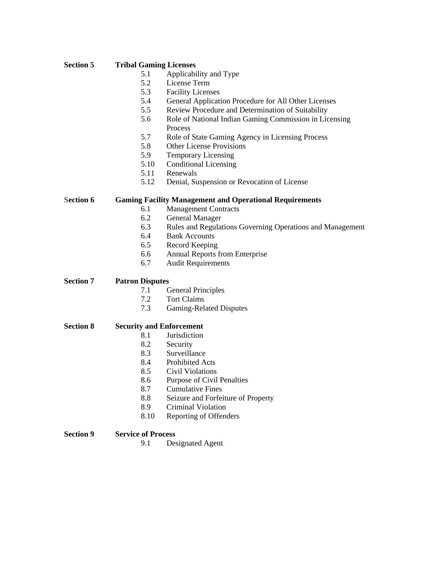#### **Section 5 Tribal Gaming Licenses**

- 5.1 Applicability and Type<br>5.2 License Term
- License Term
- 5.3 Facility Licenses
- 5.4 General Application Procedure for All Other Licenses
- 5.5 Review Procedure and Determination of Suitability
- 5.6 Role of National Indian Gaming Commission in Licensing Process
- 5.7 Role of State Gaming Agency in Licensing Process
- 5.8 Other License Provisions
- 5.9 Temporary Licensing
- 5.10 Conditional Licensing
- 5.11 Renewals
- 5.12 Denial, Suspension or Revocation of License

S**ection 6 Gaming Facility Management and Operational Requirements** 

- 6.1 Management Contracts
- 6.2 General Manager
- 6.3 Rules and Regulations Governing Operations and Management
- 6.4 Bank Accounts
- 6.5 Record Keeping
- 6.6 Annual Reports from Enterprise
- 6.7 Audit Requirements

**Section 7 Patron Disputes** 

- 7.1 General Principles
- 7.2 Tort Claims
- 7.3 Gaming-Related Disputes

#### **Section 8 Security and Enforcement**

- 8.1 Jurisdiction
- 
- 8.2 Security<br>8.3 Surveilla **Surveillance**
- 8.4 Prohibited Acts
- 8.5 Civil Violations
- 8.6 Purpose of Civil Penalties
- 8.7 Cumulative Fines
- 8.8 Seizure and Forfeiture of Property
- 8.9 Criminal Violation
- 8.10 Reporting of Offenders

**Section 9 Service of Process** 

9.1 Designated Agent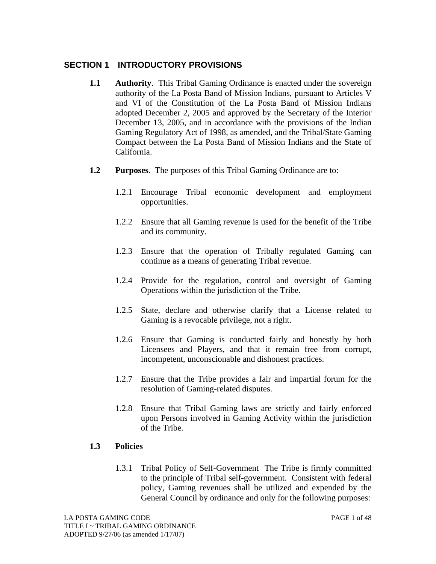# **SECTION 1 INTRODUCTORY PROVISIONS**

- **1.1 Authority**. This Tribal Gaming Ordinance is enacted under the sovereign authority of the La Posta Band of Mission Indians, pursuant to Articles V and VI of the Constitution of the La Posta Band of Mission Indians adopted December 2, 2005 and approved by the Secretary of the Interior December 13, 2005, and in accordance with the provisions of the Indian Gaming Regulatory Act of 1998, as amended, and the Tribal/State Gaming Compact between the La Posta Band of Mission Indians and the State of California.
- **1.2 Purposes**. The purposes of this Tribal Gaming Ordinance are to:
	- 1.2.1 Encourage Tribal economic development and employment opportunities.
	- 1.2.2 Ensure that all Gaming revenue is used for the benefit of the Tribe and its community.
	- 1.2.3 Ensure that the operation of Tribally regulated Gaming can continue as a means of generating Tribal revenue.
	- 1.2.4 Provide for the regulation, control and oversight of Gaming Operations within the jurisdiction of the Tribe.
	- 1.2.5 State, declare and otherwise clarify that a License related to Gaming is a revocable privilege, not a right.
	- 1.2.6 Ensure that Gaming is conducted fairly and honestly by both Licensees and Players, and that it remain free from corrupt, incompetent, unconscionable and dishonest practices.
	- 1.2.7 Ensure that the Tribe provides a fair and impartial forum for the resolution of Gaming-related disputes.
	- 1.2.8 Ensure that Tribal Gaming laws are strictly and fairly enforced upon Persons involved in Gaming Activity within the jurisdiction of the Tribe.

#### **1.3 Policies**

1.3.1 Tribal Policy of Self-GovernmentThe Tribe is firmly committed to the principle of Tribal self-government. Consistent with federal policy, Gaming revenues shall be utilized and expended by the General Council by ordinance and only for the following purposes: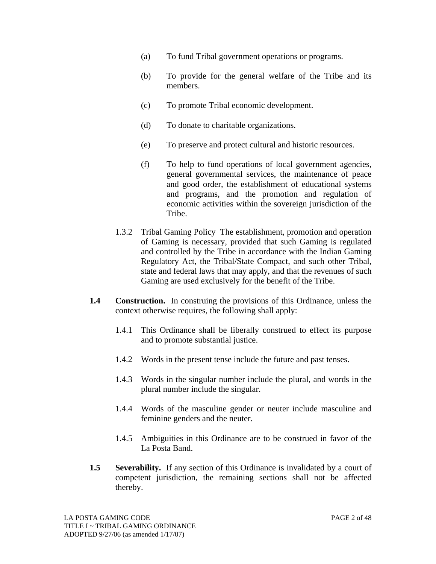- (a) To fund Tribal government operations or programs.
- (b) To provide for the general welfare of the Tribe and its members.
- (c) To promote Tribal economic development.
- (d) To donate to charitable organizations.
- (e) To preserve and protect cultural and historic resources.
- (f) To help to fund operations of local government agencies, general governmental services, the maintenance of peace and good order, the establishment of educational systems and programs, and the promotion and regulation of economic activities within the sovereign jurisdiction of the Tribe.
- 1.3.2 Tribal Gaming Policy The establishment, promotion and operation of Gaming is necessary, provided that such Gaming is regulated and controlled by the Tribe in accordance with the Indian Gaming Regulatory Act, the Tribal/State Compact, and such other Tribal, state and federal laws that may apply, and that the revenues of such Gaming are used exclusively for the benefit of the Tribe.
- **1.4 Construction.** In construing the provisions of this Ordinance, unless the context otherwise requires, the following shall apply:
	- 1.4.1 This Ordinance shall be liberally construed to effect its purpose and to promote substantial justice.
	- 1.4.2 Words in the present tense include the future and past tenses.
	- 1.4.3 Words in the singular number include the plural, and words in the plural number include the singular.
	- 1.4.4 Words of the masculine gender or neuter include masculine and feminine genders and the neuter.
	- 1.4.5 Ambiguities in this Ordinance are to be construed in favor of the La Posta Band.
- **1.5** Severability. If any section of this Ordinance is invalidated by a court of competent jurisdiction, the remaining sections shall not be affected thereby.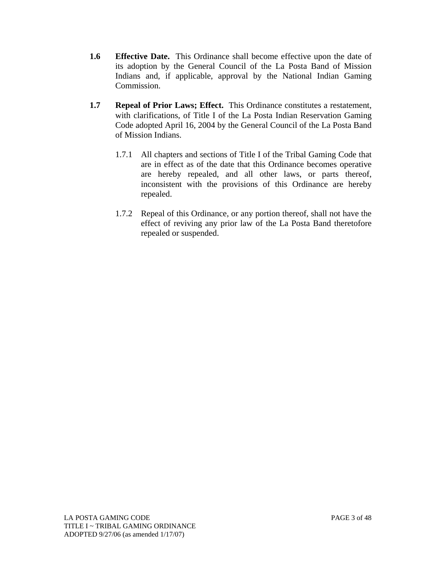- **1.6 Effective Date.** This Ordinance shall become effective upon the date of its adoption by the General Council of the La Posta Band of Mission Indians and, if applicable, approval by the National Indian Gaming Commission.
- **1.7 Repeal of Prior Laws; Effect.** This Ordinance constitutes a restatement, with clarifications, of Title I of the La Posta Indian Reservation Gaming Code adopted April 16, 2004 by the General Council of the La Posta Band of Mission Indians.
	- 1.7.1 All chapters and sections of Title I of the Tribal Gaming Code that are in effect as of the date that this Ordinance becomes operative are hereby repealed, and all other laws, or parts thereof, inconsistent with the provisions of this Ordinance are hereby repealed.
	- 1.7.2 Repeal of this Ordinance, or any portion thereof, shall not have the effect of reviving any prior law of the La Posta Band theretofore repealed or suspended.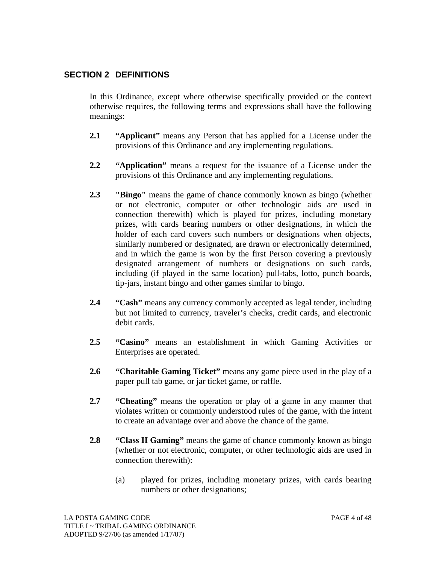# **SECTION 2 DEFINITIONS**

In this Ordinance, except where otherwise specifically provided or the context otherwise requires, the following terms and expressions shall have the following meanings:

- **2.1 "Applicant"** means any Person that has applied for a License under the provisions of this Ordinance and any implementing regulations.
- **2.2 "Application"** means a request for the issuance of a License under the provisions of this Ordinance and any implementing regulations.
- **2.3 "Bingo"** means the game of chance commonly known as bingo (whether or not electronic, computer or other technologic aids are used in connection therewith) which is played for prizes, including monetary prizes, with cards bearing numbers or other designations, in which the holder of each card covers such numbers or designations when objects, similarly numbered or designated, are drawn or electronically determined, and in which the game is won by the first Person covering a previously designated arrangement of numbers or designations on such cards, including (if played in the same location) pull-tabs, lotto, punch boards, tip-jars, instant bingo and other games similar to bingo.
- **2.4 "Cash"** means any currency commonly accepted as legal tender, including but not limited to currency, traveler's checks, credit cards, and electronic debit cards.
- **2.5 "Casino"** means an establishment in which Gaming Activities or Enterprises are operated.
- **2.6 "Charitable Gaming Ticket"** means any game piece used in the play of a paper pull tab game, or jar ticket game, or raffle.
- **2.7 "Cheating"** means the operation or play of a game in any manner that violates written or commonly understood rules of the game, with the intent to create an advantage over and above the chance of the game.
- **2.8 "Class II Gaming"** means the game of chance commonly known as bingo (whether or not electronic, computer, or other technologic aids are used in connection therewith):
	- (a) played for prizes, including monetary prizes, with cards bearing numbers or other designations;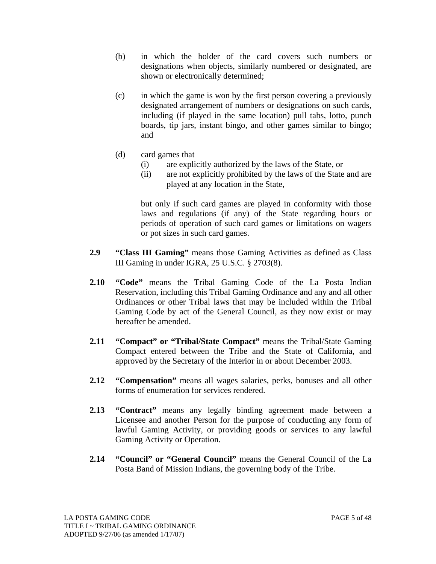- (b) in which the holder of the card covers such numbers or designations when objects, similarly numbered or designated, are shown or electronically determined;
- (c) in which the game is won by the first person covering a previously designated arrangement of numbers or designations on such cards, including (if played in the same location) pull tabs, lotto, punch boards, tip jars, instant bingo, and other games similar to bingo; and
- (d) card games that
	- (i) are explicitly authorized by the laws of the State, or
	- (ii) are not explicitly prohibited by the laws of the State and are played at any location in the State,

but only if such card games are played in conformity with those laws and regulations (if any) of the State regarding hours or periods of operation of such card games or limitations on wagers or pot sizes in such card games.

- **2.9 "Class III Gaming"** means those Gaming Activities as defined as Class III Gaming in under IGRA, 25 U.S.C. § 2703(8).
- **2.10 "Code"** means the Tribal Gaming Code of the La Posta Indian Reservation, including this Tribal Gaming Ordinance and any and all other Ordinances or other Tribal laws that may be included within the Tribal Gaming Code by act of the General Council, as they now exist or may hereafter be amended.
- **2.11 "Compact" or "Tribal/State Compact"** means the Tribal/State Gaming Compact entered between the Tribe and the State of California, and approved by the Secretary of the Interior in or about December 2003.
- **2.12 "Compensation"** means all wages salaries, perks, bonuses and all other forms of enumeration for services rendered.
- **2.13 "Contract"** means any legally binding agreement made between a Licensee and another Person for the purpose of conducting any form of lawful Gaming Activity, or providing goods or services to any lawful Gaming Activity or Operation.
- **2.14 "Council" or "General Council"** means the General Council of the La Posta Band of Mission Indians, the governing body of the Tribe.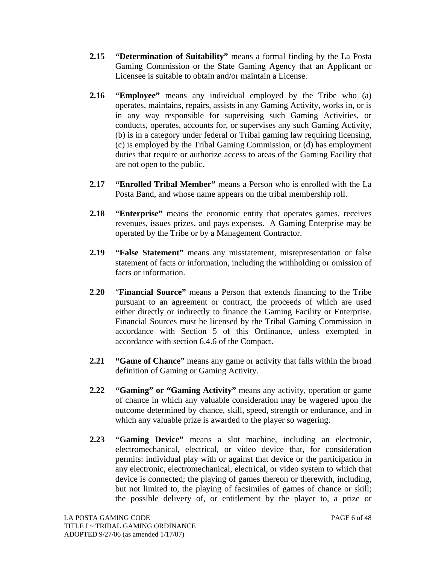- **2.15 "Determination of Suitability"** means a formal finding by the La Posta Gaming Commission or the State Gaming Agency that an Applicant or Licensee is suitable to obtain and/or maintain a License.
- **2.16 "Employee"** means any individual employed by the Tribe who (a) operates, maintains, repairs, assists in any Gaming Activity, works in, or is in any way responsible for supervising such Gaming Activities, or conducts, operates, accounts for, or supervises any such Gaming Activity, (b) is in a category under federal or Tribal gaming law requiring licensing, (c) is employed by the Tribal Gaming Commission, or (d) has employment duties that require or authorize access to areas of the Gaming Facility that are not open to the public.
- **2.17 "Enrolled Tribal Member"** means a Person who is enrolled with the La Posta Band, and whose name appears on the tribal membership roll.
- **2.18 "Enterprise"** means the economic entity that operates games, receives revenues, issues prizes, and pays expenses. A Gaming Enterprise may be operated by the Tribe or by a Management Contractor.
- **2.19 "False Statement"** means any misstatement, misrepresentation or false statement of facts or information, including the withholding or omission of facts or information.
- **2**.**20** "**Financial Source"** means a Person that extends financing to the Tribe pursuant to an agreement or contract, the proceeds of which are used either directly or indirectly to finance the Gaming Facility or Enterprise. Financial Sources must be licensed by the Tribal Gaming Commission in accordance with Section 5 of this Ordinance, unless exempted in accordance with section 6.4.6 of the Compact.
- **2.21 "Game of Chance"** means any game or activity that falls within the broad definition of Gaming or Gaming Activity.
- **2.22 "Gaming" or "Gaming Activity"** means any activity, operation or game of chance in which any valuable consideration may be wagered upon the outcome determined by chance, skill, speed, strength or endurance, and in which any valuable prize is awarded to the player so wagering.
- **2.23 "Gaming Device"** means a slot machine, including an electronic, electromechanical, electrical, or video device that, for consideration permits: individual play with or against that device or the participation in any electronic, electromechanical, electrical, or video system to which that device is connected; the playing of games thereon or therewith, including, but not limited to, the playing of facsimiles of games of chance or skill; the possible delivery of, or entitlement by the player to, a prize or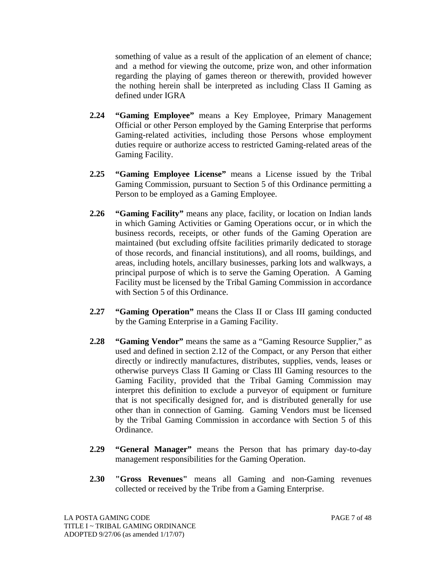something of value as a result of the application of an element of chance; and a method for viewing the outcome, prize won, and other information regarding the playing of games thereon or therewith, provided however the nothing herein shall be interpreted as including Class II Gaming as defined under IGRA

- **2.24 "Gaming Employee"** means a Key Employee, Primary Management Official or other Person employed by the Gaming Enterprise that performs Gaming-related activities, including those Persons whose employment duties require or authorize access to restricted Gaming-related areas of the Gaming Facility.
- **2.25 "Gaming Employee License"** means a License issued by the Tribal Gaming Commission, pursuant to Section 5 of this Ordinance permitting a Person to be employed as a Gaming Employee.
- **2.26 "Gaming Facility"** means any place, facility, or location on Indian lands in which Gaming Activities or Gaming Operations occur, or in which the business records, receipts, or other funds of the Gaming Operation are maintained (but excluding offsite facilities primarily dedicated to storage of those records, and financial institutions), and all rooms, buildings, and areas, including hotels, ancillary businesses, parking lots and walkways, a principal purpose of which is to serve the Gaming Operation. A Gaming Facility must be licensed by the Tribal Gaming Commission in accordance with Section 5 of this Ordinance.
- 2.27 **"Gaming Operation"** means the Class II or Class III gaming conducted by the Gaming Enterprise in a Gaming Facility.
- **2.28 "Gaming Vendor"** means the same as a "Gaming Resource Supplier," as used and defined in section 2.12 of the Compact, or any Person that either directly or indirectly manufactures, distributes, supplies, vends, leases or otherwise purveys Class II Gaming or Class III Gaming resources to the Gaming Facility, provided that the Tribal Gaming Commission may interpret this definition to exclude a purveyor of equipment or furniture that is not specifically designed for, and is distributed generally for use other than in connection of Gaming. Gaming Vendors must be licensed by the Tribal Gaming Commission in accordance with Section 5 of this Ordinance.
- **2.29 "General Manager"** means the Person that has primary day-to-day management responsibilities for the Gaming Operation.
- **2.30 "Gross Revenues"** means all Gaming and non-Gaming revenues collected or received by the Tribe from a Gaming Enterprise.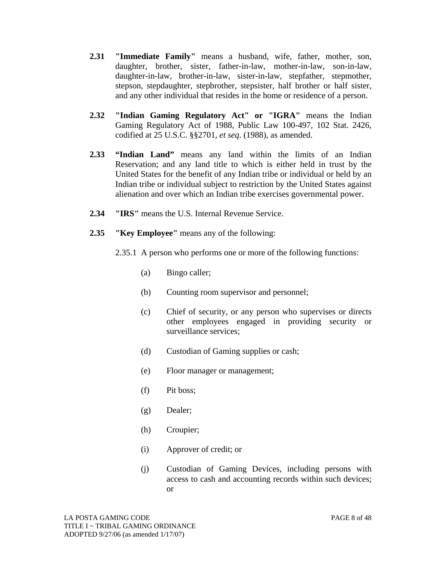- **2.31 "Immediate Family"** means a husband, wife, father, mother, son, daughter, brother, sister, father-in-law, mother-in-law, son-in-law, daughter-in-law, brother-in-law, sister-in-law, stepfather, stepmother, stepson, stepdaughter, stepbrother, stepsister, half brother or half sister, and any other individual that resides in the home or residence of a person.
- **2.32 "Indian Gaming Regulatory Act" or "IGRA"** means the Indian Gaming Regulatory Act of 1988, Public Law 100-497, 102 Stat. 2426, codified at 25 U.S.C. §§2701, *et seq*. (1988), as amended.
- **2.33 "Indian Land"** means any land within the limits of an Indian Reservation; and any land title to which is either held in trust by the United States for the benefit of any Indian tribe or individual or held by an Indian tribe or individual subject to restriction by the United States against alienation and over which an Indian tribe exercises governmental power.
- 2.34 **"IRS"** means the U.S. Internal Revenue Service.
- **2.35 "Key Employee"** means any of the following:
	- 2.35.1 A person who performs one or more of the following functions:
		- (a) Bingo caller;
		- (b) Counting room supervisor and personnel;
		- (c) Chief of security, or any person who supervises or directs other employees engaged in providing security or surveillance services;
		- (d) Custodian of Gaming supplies or cash;
		- (e) Floor manager or management;
		- (f) Pit boss;
		- (g) Dealer;
		- (h) Croupier;
		- (i) Approver of credit; or
		- (j) Custodian of Gaming Devices, including persons with access to cash and accounting records within such devices; or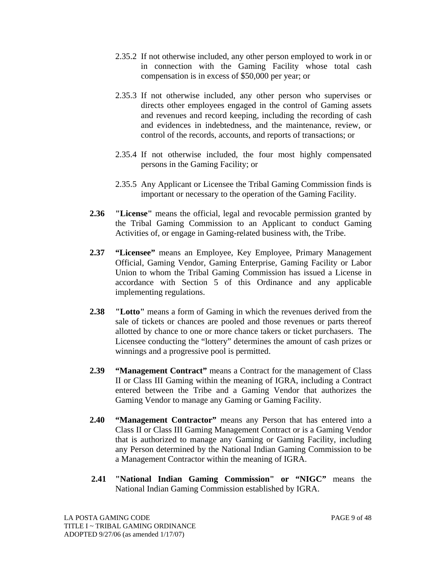- 2.35.2 If not otherwise included, any other person employed to work in or in connection with the Gaming Facility whose total cash compensation is in excess of \$50,000 per year; or
- 2.35.3 If not otherwise included, any other person who supervises or directs other employees engaged in the control of Gaming assets and revenues and record keeping, including the recording of cash and evidences in indebtedness, and the maintenance, review, or control of the records, accounts, and reports of transactions; or
- 2.35.4 If not otherwise included, the four most highly compensated persons in the Gaming Facility; or
- 2.35.5 Any Applicant or Licensee the Tribal Gaming Commission finds is important or necessary to the operation of the Gaming Facility.
- **2.36 "License"** means the official, legal and revocable permission granted by the Tribal Gaming Commission to an Applicant to conduct Gaming Activities of, or engage in Gaming-related business with, the Tribe.
- **2.37 "Licensee"** means an Employee, Key Employee, Primary Management Official, Gaming Vendor, Gaming Enterprise, Gaming Facility or Labor Union to whom the Tribal Gaming Commission has issued a License in accordance with Section 5 of this Ordinance and any applicable implementing regulations.
- **2.38 "Lotto"** means a form of Gaming in which the revenues derived from the sale of tickets or chances are pooled and those revenues or parts thereof allotted by chance to one or more chance takers or ticket purchasers. The Licensee conducting the "lottery" determines the amount of cash prizes or winnings and a progressive pool is permitted.
- **2.39 "Management Contract"** means a Contract for the management of Class II or Class III Gaming within the meaning of IGRA, including a Contract entered between the Tribe and a Gaming Vendor that authorizes the Gaming Vendor to manage any Gaming or Gaming Facility.
- **2.40 "Management Contractor"** means any Person that has entered into a Class II or Class III Gaming Management Contract or is a Gaming Vendor that is authorized to manage any Gaming or Gaming Facility, including any Person determined by the National Indian Gaming Commission to be a Management Contractor within the meaning of IGRA.
- **2.41 "National Indian Gaming Commission" or "NIGC"** means the National Indian Gaming Commission established by IGRA.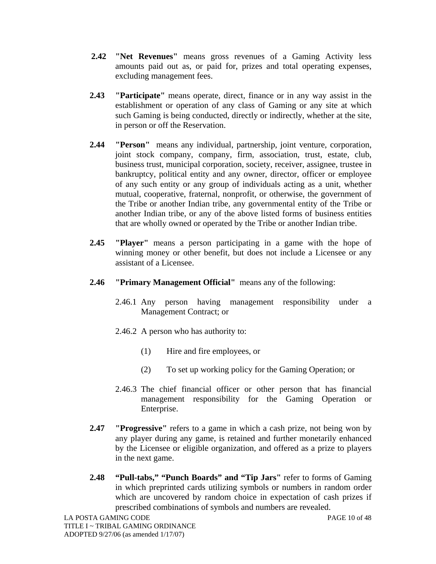- **2.42 "Net Revenues"** means gross revenues of a Gaming Activity less amounts paid out as, or paid for, prizes and total operating expenses, excluding management fees.
- **2.43 "Participate"** means operate, direct, finance or in any way assist in the establishment or operation of any class of Gaming or any site at which such Gaming is being conducted, directly or indirectly, whether at the site, in person or off the Reservation.
- **2.44 "Person"** means any individual, partnership, joint venture, corporation, joint stock company, company, firm, association, trust, estate, club, business trust, municipal corporation, society, receiver, assignee, trustee in bankruptcy, political entity and any owner, director, officer or employee of any such entity or any group of individuals acting as a unit, whether mutual, cooperative, fraternal, nonprofit, or otherwise, the government of the Tribe or another Indian tribe, any governmental entity of the Tribe or another Indian tribe, or any of the above listed forms of business entities that are wholly owned or operated by the Tribe or another Indian tribe.
- **2.45 "Player"** means a person participating in a game with the hope of winning money or other benefit, but does not include a Licensee or any assistant of a Licensee.
- **2.46 "Primary Management Official"** means any of the following:
	- 2.46.1 Any person having management responsibility under a Management Contract; or
	- 2.46.2 A person who has authority to:
		- (1) Hire and fire employees, or
		- (2) To set up working policy for the Gaming Operation; or
	- 2.46.3 The chief financial officer or other person that has financial management responsibility for the Gaming Operation or Enterprise.
- **2.47 "Progressive"** refers to a game in which a cash prize, not being won by any player during any game, is retained and further monetarily enhanced by the Licensee or eligible organization, and offered as a prize to players in the next game.
- **2.48 "Pull-tabs," "Punch Boards" and "Tip Jars"** refer to forms of Gaming in which preprinted cards utilizing symbols or numbers in random order which are uncovered by random choice in expectation of cash prizes if prescribed combinations of symbols and numbers are revealed.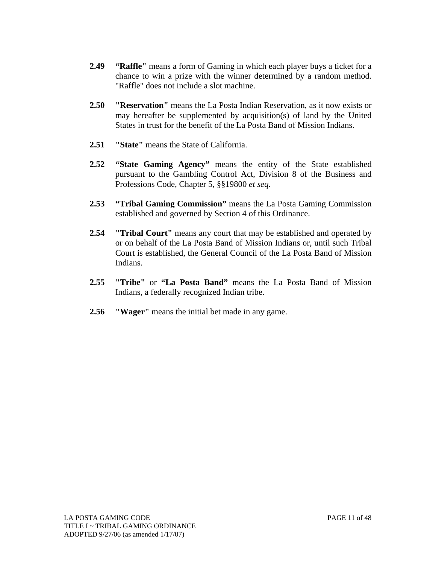- **2.49 "Raffle"** means a form of Gaming in which each player buys a ticket for a chance to win a prize with the winner determined by a random method. "Raffle" does not include a slot machine.
- **2.50 "Reservation"** means the La Posta Indian Reservation, as it now exists or may hereafter be supplemented by acquisition(s) of land by the United States in trust for the benefit of the La Posta Band of Mission Indians.
- **2.51 "State"** means the State of California.
- **2.52 "State Gaming Agency"** means the entity of the State established pursuant to the Gambling Control Act, Division 8 of the Business and Professions Code, Chapter 5, §§19800 *et seq*.
- **2.53 "Tribal Gaming Commission"** means the La Posta Gaming Commission established and governed by Section 4 of this Ordinance.
- **2.54 "Tribal Court"** means any court that may be established and operated by or on behalf of the La Posta Band of Mission Indians or, until such Tribal Court is established, the General Council of the La Posta Band of Mission Indians.
- **2.55 "Tribe"** or **"La Posta Band"** means the La Posta Band of Mission Indians, a federally recognized Indian tribe.
- **2.56 "Wager"** means the initial bet made in any game.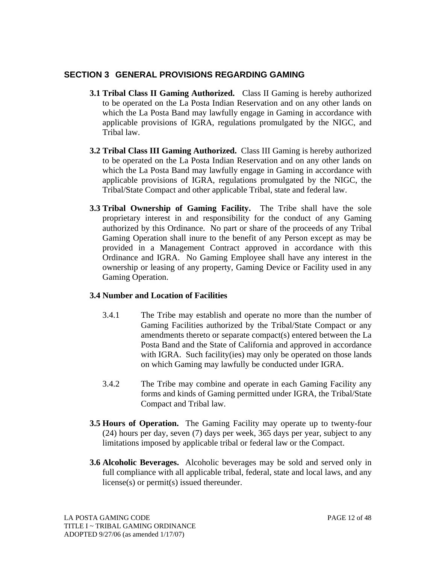### **SECTION 3 GENERAL PROVISIONS REGARDING GAMING**

- **3.1 Tribal Class II Gaming Authorized.** Class II Gaming is hereby authorized to be operated on the La Posta Indian Reservation and on any other lands on which the La Posta Band may lawfully engage in Gaming in accordance with applicable provisions of IGRA, regulations promulgated by the NIGC, and Tribal law.
- **3.2 Tribal Class III Gaming Authorized.** Class III Gaming is hereby authorized to be operated on the La Posta Indian Reservation and on any other lands on which the La Posta Band may lawfully engage in Gaming in accordance with applicable provisions of IGRA, regulations promulgated by the NIGC, the Tribal/State Compact and other applicable Tribal, state and federal law.
- **3.3 Tribal Ownership of Gaming Facility.** The Tribe shall have the sole proprietary interest in and responsibility for the conduct of any Gaming authorized by this Ordinance. No part or share of the proceeds of any Tribal Gaming Operation shall inure to the benefit of any Person except as may be provided in a Management Contract approved in accordance with this Ordinance and IGRA. No Gaming Employee shall have any interest in the ownership or leasing of any property, Gaming Device or Facility used in any Gaming Operation.

#### **3.4 Number and Location of Facilities**

- 3.4.1 The Tribe may establish and operate no more than the number of Gaming Facilities authorized by the Tribal/State Compact or any amendments thereto or separate compact(s) entered between the La Posta Band and the State of California and approved in accordance with IGRA. Such facility (ies) may only be operated on those lands on which Gaming may lawfully be conducted under IGRA.
- 3.4.2 The Tribe may combine and operate in each Gaming Facility any forms and kinds of Gaming permitted under IGRA, the Tribal/State Compact and Tribal law.
- **3.5 Hours of Operation.** The Gaming Facility may operate up to twenty-four (24) hours per day, seven (7) days per week, 365 days per year, subject to any limitations imposed by applicable tribal or federal law or the Compact.
- **3.6 Alcoholic Beverages.** Alcoholic beverages may be sold and served only in full compliance with all applicable tribal, federal, state and local laws, and any license(s) or permit(s) issued thereunder.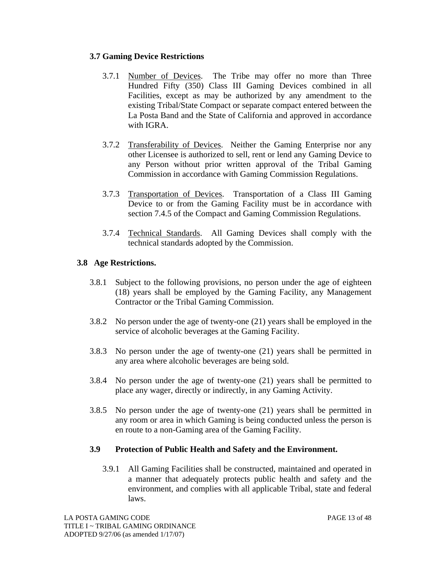#### **3.7 Gaming Device Restrictions**

- 3.7.1 Number of Devices. The Tribe may offer no more than Three Hundred Fifty (350) Class III Gaming Devices combined in all Facilities, except as may be authorized by any amendment to the existing Tribal/State Compact or separate compact entered between the La Posta Band and the State of California and approved in accordance with IGRA.
- 3.7.2 Transferability of Devices. Neither the Gaming Enterprise nor any other Licensee is authorized to sell, rent or lend any Gaming Device to any Person without prior written approval of the Tribal Gaming Commission in accordance with Gaming Commission Regulations.
- 3.7.3 Transportation of Devices. Transportation of a Class III Gaming Device to or from the Gaming Facility must be in accordance with section 7.4.5 of the Compact and Gaming Commission Regulations.
- 3.7.4 Technical Standards. All Gaming Devices shall comply with the technical standards adopted by the Commission.

# **3.8 Age Restrictions.**

- 3.8.1 Subject to the following provisions, no person under the age of eighteen (18) years shall be employed by the Gaming Facility, any Management Contractor or the Tribal Gaming Commission.
- 3.8.2 No person under the age of twenty-one (21) years shall be employed in the service of alcoholic beverages at the Gaming Facility.
- 3.8.3 No person under the age of twenty-one (21) years shall be permitted in any area where alcoholic beverages are being sold.
- 3.8.4 No person under the age of twenty-one (21) years shall be permitted to place any wager, directly or indirectly, in any Gaming Activity.
- 3.8.5 No person under the age of twenty-one (21) years shall be permitted in any room or area in which Gaming is being conducted unless the person is en route to a non-Gaming area of the Gaming Facility.

#### **3.9 Protection of Public Health and Safety and the Environment.**

3.9.1 All Gaming Facilities shall be constructed, maintained and operated in a manner that adequately protects public health and safety and the environment, and complies with all applicable Tribal, state and federal laws.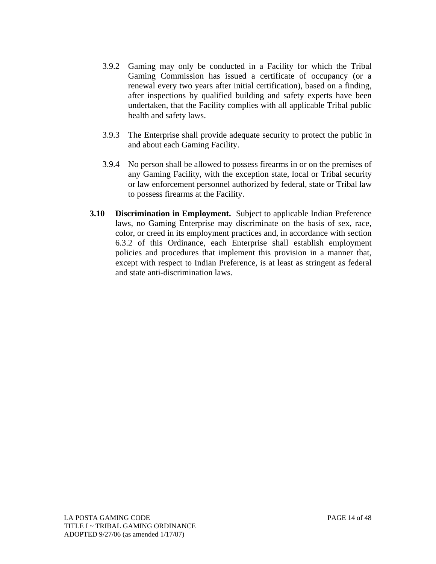- 3.9.2 Gaming may only be conducted in a Facility for which the Tribal Gaming Commission has issued a certificate of occupancy (or a renewal every two years after initial certification), based on a finding, after inspections by qualified building and safety experts have been undertaken, that the Facility complies with all applicable Tribal public health and safety laws.
- 3.9.3 The Enterprise shall provide adequate security to protect the public in and about each Gaming Facility.
- 3.9.4 No person shall be allowed to possess firearms in or on the premises of any Gaming Facility, with the exception state, local or Tribal security or law enforcement personnel authorized by federal, state or Tribal law to possess firearms at the Facility.
- **3.10 Discrimination in Employment.** Subject to applicable Indian Preference laws, no Gaming Enterprise may discriminate on the basis of sex, race, color, or creed in its employment practices and, in accordance with section 6.3.2 of this Ordinance, each Enterprise shall establish employment policies and procedures that implement this provision in a manner that, except with respect to Indian Preference, is at least as stringent as federal and state anti-discrimination laws.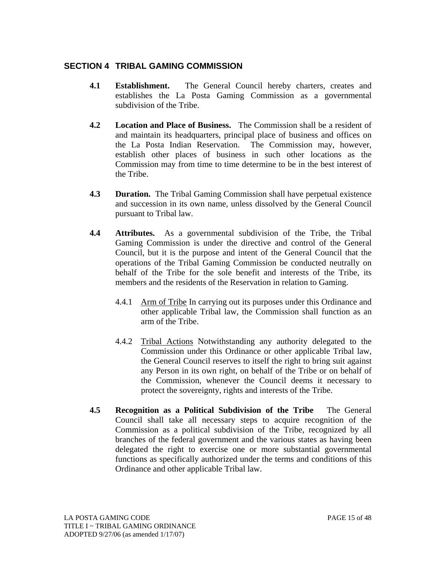# **SECTION 4 TRIBAL GAMING COMMISSION**

- **4.1 Establishment.** The General Council hereby charters, creates and establishes the La Posta Gaming Commission as a governmental subdivision of the Tribe.
- **4.2 Location and Place of Business.** The Commission shall be a resident of and maintain its headquarters, principal place of business and offices on the La Posta Indian Reservation. The Commission may, however, establish other places of business in such other locations as the Commission may from time to time determine to be in the best interest of the Tribe.
- **4.3 Duration.** The Tribal Gaming Commission shall have perpetual existence and succession in its own name, unless dissolved by the General Council pursuant to Tribal law.
- **4.4 Attributes.** As a governmental subdivision of the Tribe, the Tribal Gaming Commission is under the directive and control of the General Council, but it is the purpose and intent of the General Council that the operations of the Tribal Gaming Commission be conducted neutrally on behalf of the Tribe for the sole benefit and interests of the Tribe, its members and the residents of the Reservation in relation to Gaming.
	- 4.4.1 Arm of Tribe In carrying out its purposes under this Ordinance and other applicable Tribal law, the Commission shall function as an arm of the Tribe.
	- 4.4.2 Tribal Actions Notwithstanding any authority delegated to the Commission under this Ordinance or other applicable Tribal law, the General Council reserves to itself the right to bring suit against any Person in its own right, on behalf of the Tribe or on behalf of the Commission, whenever the Council deems it necessary to protect the sovereignty, rights and interests of the Tribe.
- **4.5 Recognition as a Political Subdivision of the Tribe** The General Council shall take all necessary steps to acquire recognition of the Commission as a political subdivision of the Tribe, recognized by all branches of the federal government and the various states as having been delegated the right to exercise one or more substantial governmental functions as specifically authorized under the terms and conditions of this Ordinance and other applicable Tribal law.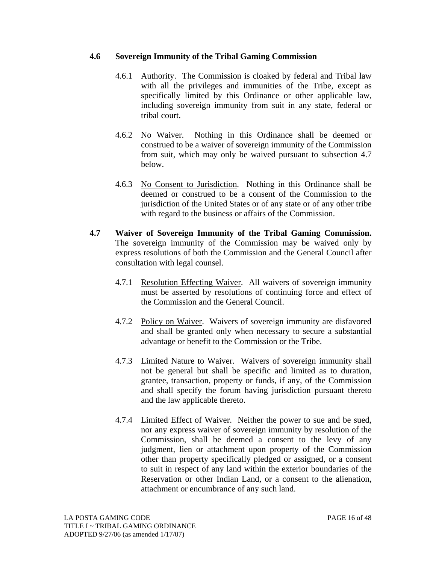#### **4.6 Sovereign Immunity of the Tribal Gaming Commission**

- 4.6.1 Authority. The Commission is cloaked by federal and Tribal law with all the privileges and immunities of the Tribe, except as specifically limited by this Ordinance or other applicable law, including sovereign immunity from suit in any state, federal or tribal court.
- 4.6.2 No Waiver. Nothing in this Ordinance shall be deemed or construed to be a waiver of sovereign immunity of the Commission from suit, which may only be waived pursuant to subsection 4.7 below.
- 4.6.3 No Consent to Jurisdiction. Nothing in this Ordinance shall be deemed or construed to be a consent of the Commission to the jurisdiction of the United States or of any state or of any other tribe with regard to the business or affairs of the Commission.
- **4.7 Waiver of Sovereign Immunity of the Tribal Gaming Commission.**  The sovereign immunity of the Commission may be waived only by express resolutions of both the Commission and the General Council after consultation with legal counsel.
	- 4.7.1 Resolution Effecting Waiver. All waivers of sovereign immunity must be asserted by resolutions of continuing force and effect of the Commission and the General Council.
	- 4.7.2 Policy on Waiver. Waivers of sovereign immunity are disfavored and shall be granted only when necessary to secure a substantial advantage or benefit to the Commission or the Tribe.
	- 4.7.3 Limited Nature to Waiver. Waivers of sovereign immunity shall not be general but shall be specific and limited as to duration, grantee, transaction, property or funds, if any, of the Commission and shall specify the forum having jurisdiction pursuant thereto and the law applicable thereto.
	- 4.7.4 Limited Effect of Waiver. Neither the power to sue and be sued, nor any express waiver of sovereign immunity by resolution of the Commission, shall be deemed a consent to the levy of any judgment, lien or attachment upon property of the Commission other than property specifically pledged or assigned, or a consent to suit in respect of any land within the exterior boundaries of the Reservation or other Indian Land, or a consent to the alienation, attachment or encumbrance of any such land.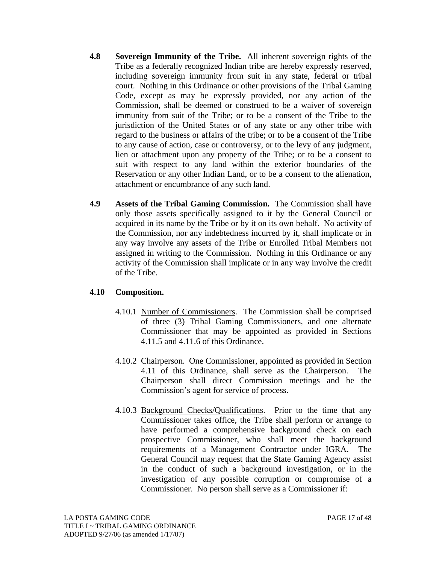- **4.8 Sovereign Immunity of the Tribe.** All inherent sovereign rights of the Tribe as a federally recognized Indian tribe are hereby expressly reserved, including sovereign immunity from suit in any state, federal or tribal court. Nothing in this Ordinance or other provisions of the Tribal Gaming Code, except as may be expressly provided, nor any action of the Commission, shall be deemed or construed to be a waiver of sovereign immunity from suit of the Tribe; or to be a consent of the Tribe to the jurisdiction of the United States or of any state or any other tribe with regard to the business or affairs of the tribe; or to be a consent of the Tribe to any cause of action, case or controversy, or to the levy of any judgment, lien or attachment upon any property of the Tribe; or to be a consent to suit with respect to any land within the exterior boundaries of the Reservation or any other Indian Land, or to be a consent to the alienation, attachment or encumbrance of any such land.
- **4.9 Assets of the Tribal Gaming Commission.** The Commission shall have only those assets specifically assigned to it by the General Council or acquired in its name by the Tribe or by it on its own behalf. No activity of the Commission, nor any indebtedness incurred by it, shall implicate or in any way involve any assets of the Tribe or Enrolled Tribal Members not assigned in writing to the Commission. Nothing in this Ordinance or any activity of the Commission shall implicate or in any way involve the credit of the Tribe.

#### **4.10 Composition.**

- 4.10.1 Number of Commissioners. The Commission shall be comprised of three (3) Tribal Gaming Commissioners, and one alternate Commissioner that may be appointed as provided in Sections 4.11.5 and 4.11.6 of this Ordinance.
- 4.10.2 Chairperson. One Commissioner, appointed as provided in Section 4.11 of this Ordinance, shall serve as the Chairperson. Chairperson shall direct Commission meetings and be the Commission's agent for service of process.
- 4.10.3 Background Checks/Qualifications. Prior to the time that any Commissioner takes office, the Tribe shall perform or arrange to have performed a comprehensive background check on each prospective Commissioner, who shall meet the background requirements of a Management Contractor under IGRA. The General Council may request that the State Gaming Agency assist in the conduct of such a background investigation, or in the investigation of any possible corruption or compromise of a Commissioner. No person shall serve as a Commissioner if: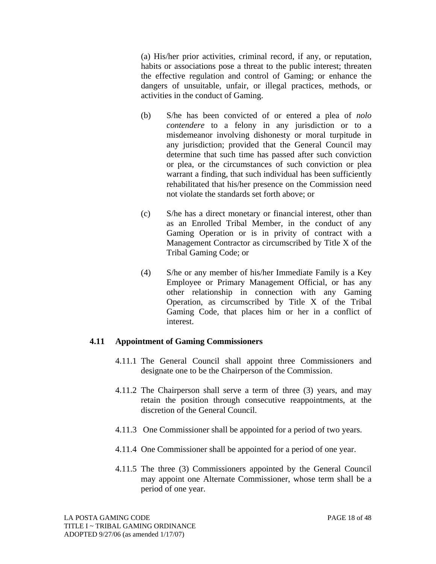(a) His/her prior activities, criminal record, if any, or reputation, habits or associations pose a threat to the public interest; threaten the effective regulation and control of Gaming; or enhance the dangers of unsuitable, unfair, or illegal practices, methods, or activities in the conduct of Gaming.

- (b) S/he has been convicted of or entered a plea of *nolo contendere* to a felony in any jurisdiction or to a misdemeanor involving dishonesty or moral turpitude in any jurisdiction; provided that the General Council may determine that such time has passed after such conviction or plea, or the circumstances of such conviction or plea warrant a finding, that such individual has been sufficiently rehabilitated that his/her presence on the Commission need not violate the standards set forth above; or
- (c) S/he has a direct monetary or financial interest, other than as an Enrolled Tribal Member, in the conduct of any Gaming Operation or is in privity of contract with a Management Contractor as circumscribed by Title X of the Tribal Gaming Code; or
- (4) S/he or any member of his/her Immediate Family is a Key Employee or Primary Management Official, or has any other relationship in connection with any Gaming Operation, as circumscribed by Title X of the Tribal Gaming Code, that places him or her in a conflict of interest.

#### **4.11 Appointment of Gaming Commissioners**

- 4.11.1 The General Council shall appoint three Commissioners and designate one to be the Chairperson of the Commission.
- 4.11.2 The Chairperson shall serve a term of three (3) years, and may retain the position through consecutive reappointments, at the discretion of the General Council.
- 4.11.3 One Commissioner shall be appointed for a period of two years.
- 4.11.4 One Commissioner shall be appointed for a period of one year.
- 4.11.5 The three (3) Commissioners appointed by the General Council may appoint one Alternate Commissioner, whose term shall be a period of one year.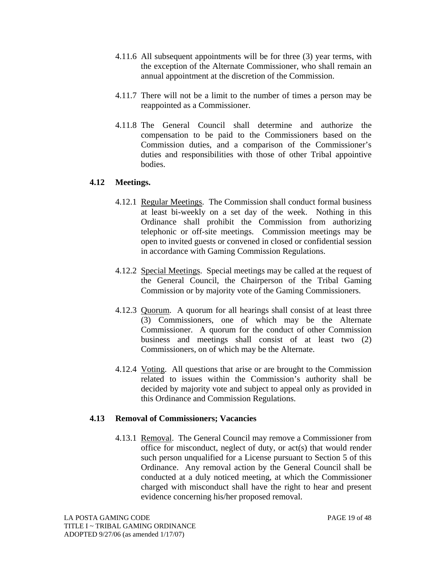- 4.11.6 All subsequent appointments will be for three (3) year terms, with the exception of the Alternate Commissioner, who shall remain an annual appointment at the discretion of the Commission.
- 4.11.7 There will not be a limit to the number of times a person may be reappointed as a Commissioner.
- 4.11.8 The General Council shall determine and authorize the compensation to be paid to the Commissioners based on the Commission duties, and a comparison of the Commissioner's duties and responsibilities with those of other Tribal appointive bodies.

#### **4.12 Meetings.**

- 4.12.1 Regular Meetings. The Commission shall conduct formal business at least bi-weekly on a set day of the week. Nothing in this Ordinance shall prohibit the Commission from authorizing telephonic or off-site meetings. Commission meetings may be open to invited guests or convened in closed or confidential session in accordance with Gaming Commission Regulations.
- 4.12.2 Special Meetings. Special meetings may be called at the request of the General Council, the Chairperson of the Tribal Gaming Commission or by majority vote of the Gaming Commissioners.
- 4.12.3 Quorum. A quorum for all hearings shall consist of at least three (3) Commissioners, one of which may be the Alternate Commissioner. A quorum for the conduct of other Commission business and meetings shall consist of at least two (2) Commissioners, on of which may be the Alternate.
- 4.12.4 Voting. All questions that arise or are brought to the Commission related to issues within the Commission's authority shall be decided by majority vote and subject to appeal only as provided in this Ordinance and Commission Regulations.

#### **4.13 Removal of Commissioners; Vacancies**

4.13.1 Removal. The General Council may remove a Commissioner from office for misconduct, neglect of duty, or act(s) that would render such person unqualified for a License pursuant to Section 5 of this Ordinance. Any removal action by the General Council shall be conducted at a duly noticed meeting, at which the Commissioner charged with misconduct shall have the right to hear and present evidence concerning his/her proposed removal.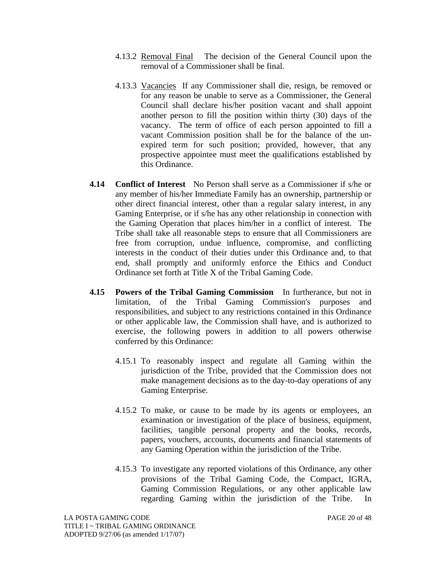- 4.13.2 Removal Final The decision of the General Council upon the removal of a Commissioner shall be final.
- 4.13.3 Vacancies If any Commissioner shall die, resign, be removed or for any reason be unable to serve as a Commissioner, the General Council shall declare his/her position vacant and shall appoint another person to fill the position within thirty (30) days of the vacancy. The term of office of each person appointed to fill a vacant Commission position shall be for the balance of the unexpired term for such position; provided, however, that any prospective appointee must meet the qualifications established by this Ordinance.
- **4.14 Conflict of Interest** No Person shall serve as a Commissioner if s/he or any member of his/her Immediate Family has an ownership, partnership or other direct financial interest, other than a regular salary interest, in any Gaming Enterprise, or if s/he has any other relationship in connection with the Gaming Operation that places him/her in a conflict of interest. The Tribe shall take all reasonable steps to ensure that all Commissioners are free from corruption, undue influence, compromise, and conflicting interests in the conduct of their duties under this Ordinance and, to that end, shall promptly and uniformly enforce the Ethics and Conduct Ordinance set forth at Title X of the Tribal Gaming Code.
- **4.15 Powers of the Tribal Gaming Commission** In furtherance, but not in limitation, of the Tribal Gaming Commission's purposes and responsibilities, and subject to any restrictions contained in this Ordinance or other applicable law, the Commission shall have, and is authorized to exercise, the following powers in addition to all powers otherwise conferred by this Ordinance:
	- 4.15.1 To reasonably inspect and regulate all Gaming within the jurisdiction of the Tribe, provided that the Commission does not make management decisions as to the day-to-day operations of any Gaming Enterprise.
	- 4.15.2 To make, or cause to be made by its agents or employees, an examination or investigation of the place of business, equipment, facilities, tangible personal property and the books, records, papers, vouchers, accounts, documents and financial statements of any Gaming Operation within the jurisdiction of the Tribe.
	- 4.15.3 To investigate any reported violations of this Ordinance, any other provisions of the Tribal Gaming Code, the Compact, IGRA, Gaming Commission Regulations, or any other applicable law regarding Gaming within the jurisdiction of the Tribe. In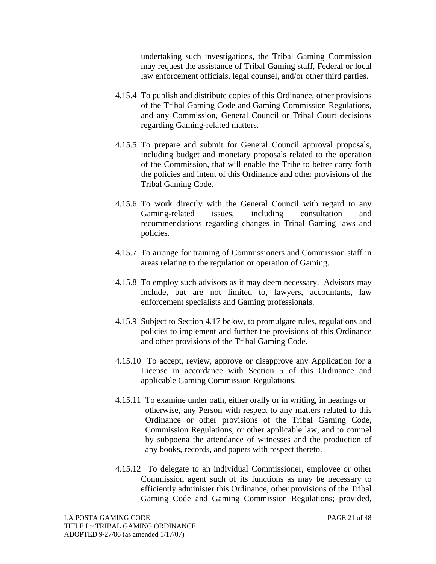undertaking such investigations, the Tribal Gaming Commission may request the assistance of Tribal Gaming staff, Federal or local law enforcement officials, legal counsel, and/or other third parties.

- 4.15.4 To publish and distribute copies of this Ordinance, other provisions of the Tribal Gaming Code and Gaming Commission Regulations, and any Commission, General Council or Tribal Court decisions regarding Gaming-related matters.
- 4.15.5 To prepare and submit for General Council approval proposals, including budget and monetary proposals related to the operation of the Commission, that will enable the Tribe to better carry forth the policies and intent of this Ordinance and other provisions of the Tribal Gaming Code.
- 4.15.6 To work directly with the General Council with regard to any Gaming-related issues, including consultation and recommendations regarding changes in Tribal Gaming laws and policies.
- 4.15.7 To arrange for training of Commissioners and Commission staff in areas relating to the regulation or operation of Gaming.
- 4.15.8 To employ such advisors as it may deem necessary. Advisors may include, but are not limited to, lawyers, accountants, law enforcement specialists and Gaming professionals.
- 4.15.9 Subject to Section 4.17 below, to promulgate rules, regulations and policies to implement and further the provisions of this Ordinance and other provisions of the Tribal Gaming Code.
- 4.15.10 To accept, review, approve or disapprove any Application for a License in accordance with Section 5 of this Ordinance and applicable Gaming Commission Regulations.
- 4.15.11 To examine under oath, either orally or in writing, in hearings or otherwise, any Person with respect to any matters related to this Ordinance or other provisions of the Tribal Gaming Code, Commission Regulations, or other applicable law, and to compel by subpoena the attendance of witnesses and the production of any books, records, and papers with respect thereto.
- 4.15.12 To delegate to an individual Commissioner, employee or other Commission agent such of its functions as may be necessary to efficiently administer this Ordinance, other provisions of the Tribal Gaming Code and Gaming Commission Regulations; provided,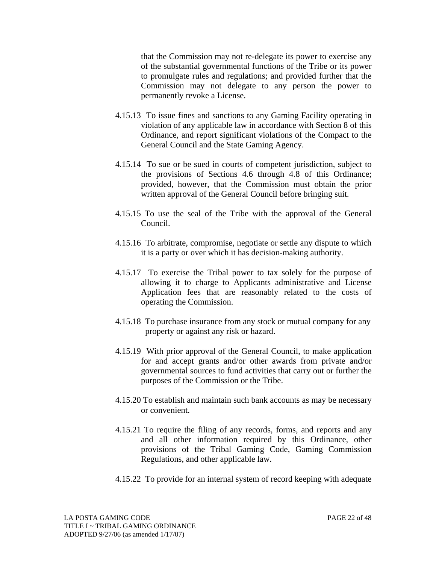that the Commission may not re-delegate its power to exercise any of the substantial governmental functions of the Tribe or its power to promulgate rules and regulations; and provided further that the Commission may not delegate to any person the power to permanently revoke a License.

- 4.15.13 To issue fines and sanctions to any Gaming Facility operating in violation of any applicable law in accordance with Section 8 of this Ordinance, and report significant violations of the Compact to the General Council and the State Gaming Agency.
- 4.15.14 To sue or be sued in courts of competent jurisdiction, subject to the provisions of Sections 4.6 through 4.8 of this Ordinance; provided, however, that the Commission must obtain the prior written approval of the General Council before bringing suit.
- 4.15.15 To use the seal of the Tribe with the approval of the General Council.
- 4.15.16 To arbitrate, compromise, negotiate or settle any dispute to which it is a party or over which it has decision-making authority.
- 4.15.17 To exercise the Tribal power to tax solely for the purpose of allowing it to charge to Applicants administrative and License Application fees that are reasonably related to the costs of operating the Commission.
- 4.15.18 To purchase insurance from any stock or mutual company for any property or against any risk or hazard.
- 4.15.19 With prior approval of the General Council, to make application for and accept grants and/or other awards from private and/or governmental sources to fund activities that carry out or further the purposes of the Commission or the Tribe.
- 4.15.20 To establish and maintain such bank accounts as may be necessary or convenient.
- 4.15.21 To require the filing of any records, forms, and reports and any and all other information required by this Ordinance, other provisions of the Tribal Gaming Code, Gaming Commission Regulations, and other applicable law.
- 4.15.22 To provide for an internal system of record keeping with adequate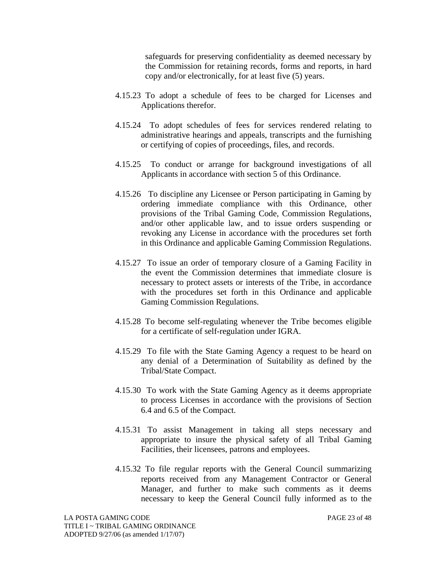safeguards for preserving confidentiality as deemed necessary by the Commission for retaining records, forms and reports, in hard copy and/or electronically, for at least five (5) years.

- 4.15.23 To adopt a schedule of fees to be charged for Licenses and Applications therefor.
- 4.15.24 To adopt schedules of fees for services rendered relating to administrative hearings and appeals, transcripts and the furnishing or certifying of copies of proceedings, files, and records.
- 4.15.25 To conduct or arrange for background investigations of all Applicants in accordance with section 5 of this Ordinance.
- 4.15.26 To discipline any Licensee or Person participating in Gaming by ordering immediate compliance with this Ordinance, other provisions of the Tribal Gaming Code, Commission Regulations, and/or other applicable law, and to issue orders suspending or revoking any License in accordance with the procedures set forth in this Ordinance and applicable Gaming Commission Regulations.
- 4.15.27 To issue an order of temporary closure of a Gaming Facility in the event the Commission determines that immediate closure is necessary to protect assets or interests of the Tribe, in accordance with the procedures set forth in this Ordinance and applicable Gaming Commission Regulations.
- 4.15.28 To become self-regulating whenever the Tribe becomes eligible for a certificate of self-regulation under IGRA.
- 4.15.29 To file with the State Gaming Agency a request to be heard on any denial of a Determination of Suitability as defined by the Tribal/State Compact.
- 4.15.30 To work with the State Gaming Agency as it deems appropriate to process Licenses in accordance with the provisions of Section 6.4 and 6.5 of the Compact.
- 4.15.31 To assist Management in taking all steps necessary and appropriate to insure the physical safety of all Tribal Gaming Facilities, their licensees, patrons and employees.
- 4.15.32 To file regular reports with the General Council summarizing reports received from any Management Contractor or General Manager, and further to make such comments as it deems necessary to keep the General Council fully informed as to the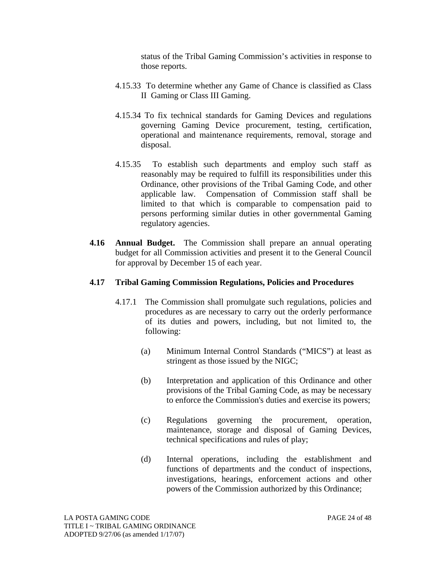status of the Tribal Gaming Commission's activities in response to those reports.

- 4.15.33 To determine whether any Game of Chance is classified as Class II Gaming or Class III Gaming.
- 4.15.34 To fix technical standards for Gaming Devices and regulations governing Gaming Device procurement, testing, certification, operational and maintenance requirements, removal, storage and disposal.
- 4.15.35 To establish such departments and employ such staff as reasonably may be required to fulfill its responsibilities under this Ordinance, other provisions of the Tribal Gaming Code, and other applicable law. Compensation of Commission staff shall be limited to that which is comparable to compensation paid to persons performing similar duties in other governmental Gaming regulatory agencies.
- **4.16 Annual Budget.** The Commission shall prepare an annual operating budget for all Commission activities and present it to the General Council for approval by December 15 of each year.

#### **4.17 Tribal Gaming Commission Regulations, Policies and Procedures**

- 4.17.1 The Commission shall promulgate such regulations, policies and procedures as are necessary to carry out the orderly performance of its duties and powers, including, but not limited to, the following:
	- (a) Minimum Internal Control Standards ("MICS") at least as stringent as those issued by the NIGC;
	- (b) Interpretation and application of this Ordinance and other provisions of the Tribal Gaming Code, as may be necessary to enforce the Commission's duties and exercise its powers;
	- (c) Regulations governing the procurement, operation, maintenance, storage and disposal of Gaming Devices, technical specifications and rules of play;
	- (d) Internal operations, including the establishment and functions of departments and the conduct of inspections, investigations, hearings, enforcement actions and other powers of the Commission authorized by this Ordinance;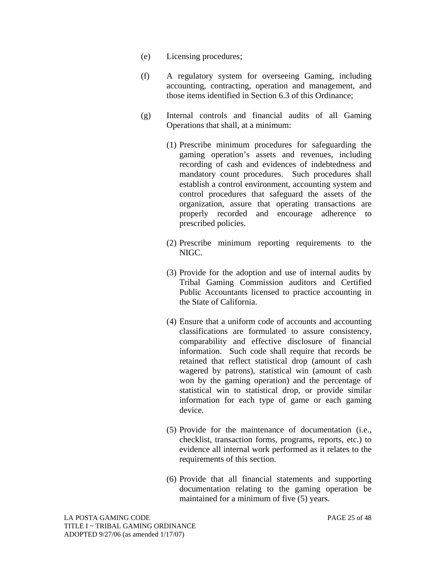- (e) Licensing procedures;
- (f) A regulatory system for overseeing Gaming, including accounting, contracting, operation and management, and those items identified in Section 6.3 of this Ordinance;
- (g) Internal controls and financial audits of all Gaming Operations that shall, at a minimum:
	- (1) Prescribe minimum procedures for safeguarding the gaming operation's assets and revenues, including recording of cash and evidences of indebtedness and mandatory count procedures. Such procedures shall establish a control environment, accounting system and control procedures that safeguard the assets of the organization, assure that operating transactions are properly recorded and encourage adherence to prescribed policies.
	- (2) Prescribe minimum reporting requirements to the NIGC.
	- (3) Provide for the adoption and use of internal audits by Tribal Gaming Commission auditors and Certified Public Accountants licensed to practice accounting in the State of California.
	- (4) Ensure that a uniform code of accounts and accounting classifications are formulated to assure consistency, comparability and effective disclosure of financial information. Such code shall require that records be retained that reflect statistical drop (amount of cash wagered by patrons), statistical win (amount of cash won by the gaming operation) and the percentage of statistical win to statistical drop, or provide similar information for each type of game or each gaming device.
	- (5) Provide for the maintenance of documentation (i.e., checklist, transaction forms, programs, reports, etc.) to evidence all internal work performed as it relates to the requirements of this section.
	- (6) Provide that all financial statements and supporting documentation relating to the gaming operation be maintained for a minimum of five (5) years.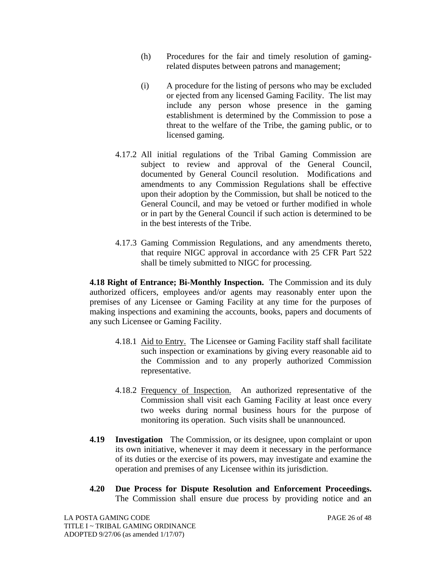- (h) Procedures for the fair and timely resolution of gamingrelated disputes between patrons and management;
- (i) A procedure for the listing of persons who may be excluded or ejected from any licensed Gaming Facility. The list may include any person whose presence in the gaming establishment is determined by the Commission to pose a threat to the welfare of the Tribe, the gaming public, or to licensed gaming.
- 4.17.2 All initial regulations of the Tribal Gaming Commission are subject to review and approval of the General Council, documented by General Council resolution. Modifications and amendments to any Commission Regulations shall be effective upon their adoption by the Commission, but shall be noticed to the General Council, and may be vetoed or further modified in whole or in part by the General Council if such action is determined to be in the best interests of the Tribe.
- 4.17.3 Gaming Commission Regulations, and any amendments thereto, that require NIGC approval in accordance with 25 CFR Part 522 shall be timely submitted to NIGC for processing.

**4.18 Right of Entrance; Bi-Monthly Inspection.** The Commission and its duly authorized officers, employees and/or agents may reasonably enter upon the premises of any Licensee or Gaming Facility at any time for the purposes of making inspections and examining the accounts, books, papers and documents of any such Licensee or Gaming Facility.

- 4.18.1 Aid to Entry. The Licensee or Gaming Facility staff shall facilitate such inspection or examinations by giving every reasonable aid to the Commission and to any properly authorized Commission representative.
- 4.18.2 Frequency of Inspection. An authorized representative of the Commission shall visit each Gaming Facility at least once every two weeks during normal business hours for the purpose of monitoring its operation. Such visits shall be unannounced.
- **4.19 Investigation** The Commission, or its designee, upon complaint or upon its own initiative, whenever it may deem it necessary in the performance of its duties or the exercise of its powers, may investigate and examine the operation and premises of any Licensee within its jurisdiction.
- **4.20 Due Process for Dispute Resolution and Enforcement Proceedings.**  The Commission shall ensure due process by providing notice and an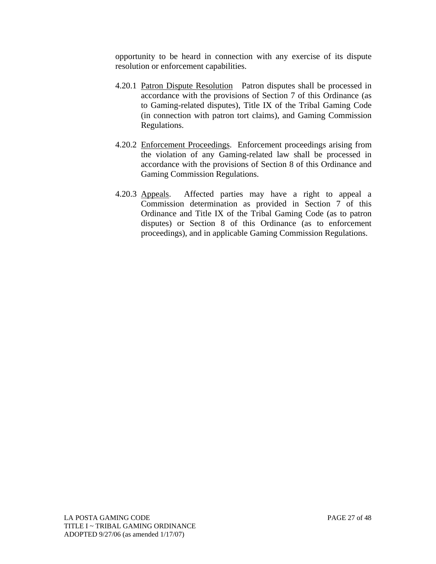opportunity to be heard in connection with any exercise of its dispute resolution or enforcement capabilities.

- 4.20.1 Patron Dispute Resolution Patron disputes shall be processed in accordance with the provisions of Section 7 of this Ordinance (as to Gaming-related disputes), Title IX of the Tribal Gaming Code (in connection with patron tort claims), and Gaming Commission Regulations.
- 4.20.2 Enforcement Proceedings. Enforcement proceedings arising from the violation of any Gaming-related law shall be processed in accordance with the provisions of Section 8 of this Ordinance and Gaming Commission Regulations.
- 4.20.3 Appeals. Affected parties may have a right to appeal a Commission determination as provided in Section 7 of this Ordinance and Title IX of the Tribal Gaming Code (as to patron disputes) or Section 8 of this Ordinance (as to enforcement proceedings), and in applicable Gaming Commission Regulations.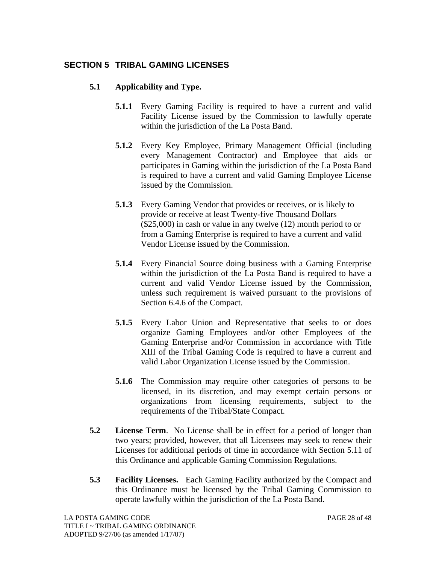# **SECTION 5 TRIBAL GAMING LICENSES**

#### **5.1 Applicability and Type.**

- **5.1.1** Every Gaming Facility is required to have a current and valid Facility License issued by the Commission to lawfully operate within the jurisdiction of the La Posta Band.
- **5.1.2** Every Key Employee, Primary Management Official (including every Management Contractor) and Employee that aids or participates in Gaming within the jurisdiction of the La Posta Band is required to have a current and valid Gaming Employee License issued by the Commission.
- **5.1.3** Every Gaming Vendor that provides or receives, or is likely to provide or receive at least Twenty-five Thousand Dollars (\$25,000) in cash or value in any twelve (12) month period to or from a Gaming Enterprise is required to have a current and valid Vendor License issued by the Commission.
- **5.1.4** Every Financial Source doing business with a Gaming Enterprise within the jurisdiction of the La Posta Band is required to have a current and valid Vendor License issued by the Commission, unless such requirement is waived pursuant to the provisions of Section 6.4.6 of the Compact.
- **5.1.5** Every Labor Union and Representative that seeks to or does organize Gaming Employees and/or other Employees of the Gaming Enterprise and/or Commission in accordance with Title XIII of the Tribal Gaming Code is required to have a current and valid Labor Organization License issued by the Commission.
- **5.1.6** The Commission may require other categories of persons to be licensed, in its discretion, and may exempt certain persons or organizations from licensing requirements, subject to the requirements of the Tribal/State Compact.
- **5.2 License Term**. No License shall be in effect for a period of longer than two years; provided, however, that all Licensees may seek to renew their Licenses for additional periods of time in accordance with Section 5.11 of this Ordinance and applicable Gaming Commission Regulations.
- **5.3 Facility Licenses.** Each Gaming Facility authorized by the Compact and this Ordinance must be licensed by the Tribal Gaming Commission to operate lawfully within the jurisdiction of the La Posta Band.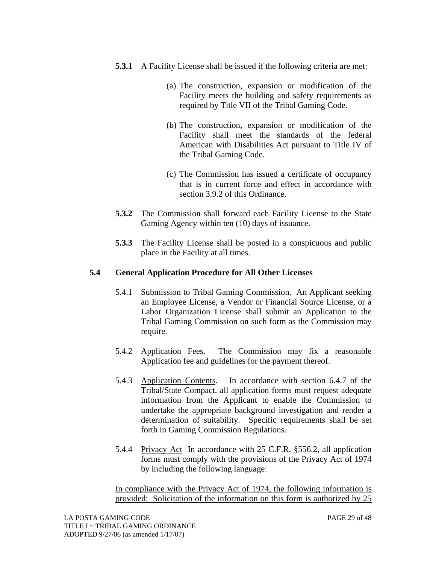- **5.3.1** A Facility License shall be issued if the following criteria are met:
	- (a) The construction, expansion or modification of the Facility meets the building and safety requirements as required by Title VII of the Tribal Gaming Code.
	- (b) The construction, expansion or modification of the Facility shall meet the standards of the federal American with Disabilities Act pursuant to Title IV of the Tribal Gaming Code.
	- (c) The Commission has issued a certificate of occupancy that is in current force and effect in accordance with section 3.9.2 of this Ordinance.
- **5.3.2** The Commission shall forward each Facility License to the State Gaming Agency within ten (10) days of issuance.
- **5.3.3** The Facility License shall be posted in a conspicuous and public place in the Facility at all times.

# **5.4 General Application Procedure for All Other Licenses**

- 5.4.1 Submission to Tribal Gaming Commission. An Applicant seeking an Employee License, a Vendor or Financial Source License, or a Labor Organization License shall submit an Application to the Tribal Gaming Commission on such form as the Commission may require.
- 5.4.2 Application Fees. The Commission may fix a reasonable Application fee and guidelines for the payment thereof.
- 5.4.3 Application Contents. In accordance with section 6.4.7 of the Tribal/State Compact, all application forms must request adequate information from the Applicant to enable the Commission to undertake the appropriate background investigation and render a determination of suitability. Specific requirements shall be set forth in Gaming Commission Regulations.
- 5.4.4 Privacy Act In accordance with 25 C.F.R. §556.2, all application forms must comply with the provisions of the Privacy Act of 1974 by including the following language:

In compliance with the Privacy Act of 1974, the following information is provided: Solicitation of the information on this form is authorized by 25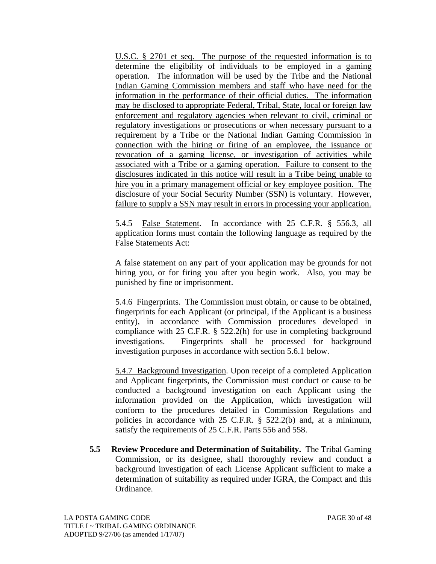U.S.C. § 2701 et seq. The purpose of the requested information is to determine the eligibility of individuals to be employed in a gaming operation. The information will be used by the Tribe and the National Indian Gaming Commission members and staff who have need for the information in the performance of their official duties. The information may be disclosed to appropriate Federal, Tribal, State, local or foreign law enforcement and regulatory agencies when relevant to civil, criminal or regulatory investigations or prosecutions or when necessary pursuant to a requirement by a Tribe or the National Indian Gaming Commission in connection with the hiring or firing of an employee, the issuance or revocation of a gaming license, or investigation of activities while associated with a Tribe or a gaming operation. Failure to consent to the disclosures indicated in this notice will result in a Tribe being unable to hire you in a primary management official or key employee position. The disclosure of your Social Security Number (SSN) is voluntary. However, failure to supply a SSN may result in errors in processing your application.

5.4.5 False Statement. In accordance with 25 C.F.R. § 556.3, all application forms must contain the following language as required by the False Statements Act:

A false statement on any part of your application may be grounds for not hiring you, or for firing you after you begin work. Also, you may be punished by fine or imprisonment.

5.4.6 Fingerprints. The Commission must obtain, or cause to be obtained, fingerprints for each Applicant (or principal, if the Applicant is a business entity), in accordance with Commission procedures developed in compliance with 25 C.F.R. § 522.2(h) for use in completing background investigations. Fingerprints shall be processed for background investigation purposes in accordance with section 5.6.1 below.

5.4.7 Background Investigation. Upon receipt of a completed Application and Applicant fingerprints, the Commission must conduct or cause to be conducted a background investigation on each Applicant using the information provided on the Application, which investigation will conform to the procedures detailed in Commission Regulations and policies in accordance with 25 C.F.R. § 522.2(b) and, at a minimum, satisfy the requirements of 25 C.F.R. Parts 556 and 558.

**5.5 Review Procedure and Determination of Suitability.** The Tribal Gaming Commission, or its designee, shall thoroughly review and conduct a background investigation of each License Applicant sufficient to make a determination of suitability as required under IGRA, the Compact and this Ordinance.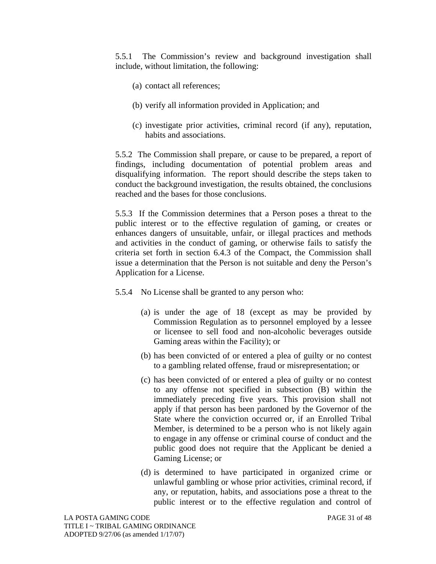5.5.1 The Commission's review and background investigation shall include, without limitation, the following:

- (a) contact all references;
- (b) verify all information provided in Application; and
- (c) investigate prior activities, criminal record (if any), reputation, habits and associations.

5.5.2 The Commission shall prepare, or cause to be prepared, a report of findings, including documentation of potential problem areas and disqualifying information. The report should describe the steps taken to conduct the background investigation, the results obtained, the conclusions reached and the bases for those conclusions.

5.5.3 If the Commission determines that a Person poses a threat to the public interest or to the effective regulation of gaming, or creates or enhances dangers of unsuitable, unfair, or illegal practices and methods and activities in the conduct of gaming, or otherwise fails to satisfy the criteria set forth in section 6.4.3 of the Compact, the Commission shall issue a determination that the Person is not suitable and deny the Person's Application for a License.

- 5.5.4 No License shall be granted to any person who:
	- (a) is under the age of 18 (except as may be provided by Commission Regulation as to personnel employed by a lessee or licensee to sell food and non-alcoholic beverages outside Gaming areas within the Facility); or
	- (b) has been convicted of or entered a plea of guilty or no contest to a gambling related offense, fraud or misrepresentation; or
	- (c) has been convicted of or entered a plea of guilty or no contest to any offense not specified in subsection (B) within the immediately preceding five years. This provision shall not apply if that person has been pardoned by the Governor of the State where the conviction occurred or, if an Enrolled Tribal Member, is determined to be a person who is not likely again to engage in any offense or criminal course of conduct and the public good does not require that the Applicant be denied a Gaming License; or
	- (d) is determined to have participated in organized crime or unlawful gambling or whose prior activities, criminal record, if any, or reputation, habits, and associations pose a threat to the public interest or to the effective regulation and control of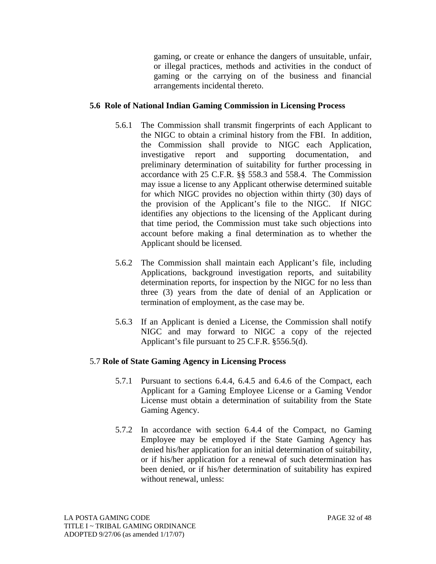gaming, or create or enhance the dangers of unsuitable, unfair, or illegal practices, methods and activities in the conduct of gaming or the carrying on of the business and financial arrangements incidental thereto.

#### **5.6 Role of National Indian Gaming Commission in Licensing Process**

- 5.6.1 The Commission shall transmit fingerprints of each Applicant to the NIGC to obtain a criminal history from the FBI. In addition, the Commission shall provide to NIGC each Application, investigative report and supporting documentation, and preliminary determination of suitability for further processing in accordance with 25 C.F.R. §§ 558.3 and 558.4. The Commission may issue a license to any Applicant otherwise determined suitable for which NIGC provides no objection within thirty (30) days of the provision of the Applicant's file to the NIGC. If NIGC identifies any objections to the licensing of the Applicant during that time period, the Commission must take such objections into account before making a final determination as to whether the Applicant should be licensed.
- 5.6.2 The Commission shall maintain each Applicant's file, including Applications, background investigation reports, and suitability determination reports, for inspection by the NIGC for no less than three (3) years from the date of denial of an Application or termination of employment, as the case may be.
- 5.6.3 If an Applicant is denied a License, the Commission shall notify NIGC and may forward to NIGC a copy of the rejected Applicant's file pursuant to 25 C.F.R. §556.5(d).

#### 5.7 **Role of State Gaming Agency in Licensing Process**

- 5.7.1 Pursuant to sections 6.4.4, 6.4.5 and 6.4.6 of the Compact, each Applicant for a Gaming Employee License or a Gaming Vendor License must obtain a determination of suitability from the State Gaming Agency.
- 5.7.2 In accordance with section 6.4.4 of the Compact, no Gaming Employee may be employed if the State Gaming Agency has denied his/her application for an initial determination of suitability, or if his/her application for a renewal of such determination has been denied, or if his/her determination of suitability has expired without renewal, unless: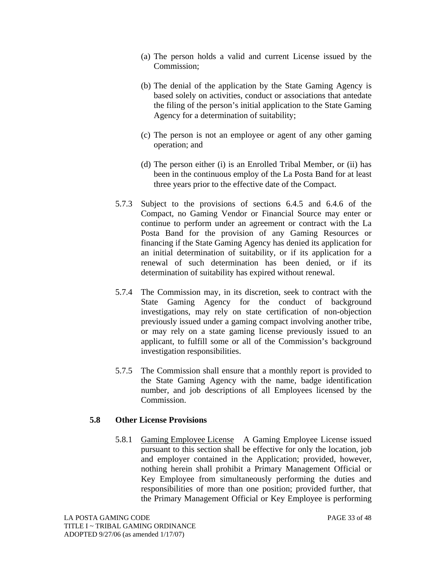- (a) The person holds a valid and current License issued by the Commission;
- (b) The denial of the application by the State Gaming Agency is based solely on activities, conduct or associations that antedate the filing of the person's initial application to the State Gaming Agency for a determination of suitability;
- (c) The person is not an employee or agent of any other gaming operation; and
- (d) The person either (i) is an Enrolled Tribal Member, or (ii) has been in the continuous employ of the La Posta Band for at least three years prior to the effective date of the Compact.
- 5.7.3 Subject to the provisions of sections 6.4.5 and 6.4.6 of the Compact, no Gaming Vendor or Financial Source may enter or continue to perform under an agreement or contract with the La Posta Band for the provision of any Gaming Resources or financing if the State Gaming Agency has denied its application for an initial determination of suitability, or if its application for a renewal of such determination has been denied, or if its determination of suitability has expired without renewal.
- 5.7.4 The Commission may, in its discretion, seek to contract with the State Gaming Agency for the conduct of background investigations, may rely on state certification of non-objection previously issued under a gaming compact involving another tribe, or may rely on a state gaming license previously issued to an applicant, to fulfill some or all of the Commission's background investigation responsibilities.
- 5.7.5 The Commission shall ensure that a monthly report is provided to the State Gaming Agency with the name, badge identification number, and job descriptions of all Employees licensed by the Commission.

#### **5.8 Other License Provisions**

5.8.1 Gaming Employee License A Gaming Employee License issued pursuant to this section shall be effective for only the location, job and employer contained in the Application; provided, however, nothing herein shall prohibit a Primary Management Official or Key Employee from simultaneously performing the duties and responsibilities of more than one position; provided further, that the Primary Management Official or Key Employee is performing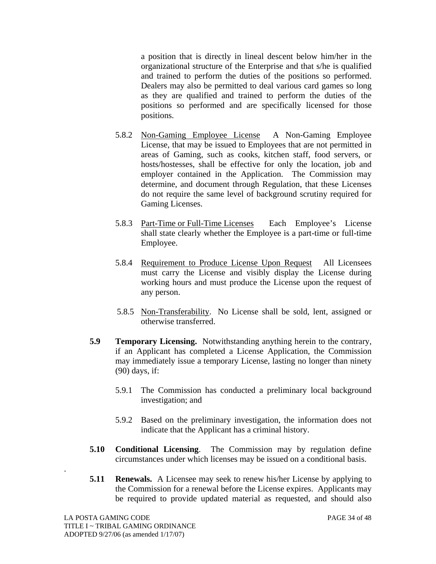a position that is directly in lineal descent below him/her in the organizational structure of the Enterprise and that s/he is qualified and trained to perform the duties of the positions so performed. Dealers may also be permitted to deal various card games so long as they are qualified and trained to perform the duties of the positions so performed and are specifically licensed for those positions.

- 5.8.2 Non-Gaming Employee License A Non-Gaming Employee License, that may be issued to Employees that are not permitted in areas of Gaming, such as cooks, kitchen staff, food servers, or hosts/hostesses, shall be effective for only the location, job and employer contained in the Application. The Commission may determine, and document through Regulation, that these Licenses do not require the same level of background scrutiny required for Gaming Licenses.
- 5.8.3 Part-Time or Full-Time Licenses Each Employee's License shall state clearly whether the Employee is a part-time or full-time Employee.
- 5.8.4 Requirement to Produce License Upon RequestAll Licensees must carry the License and visibly display the License during working hours and must produce the License upon the request of any person.
- 5.8.5 Non-Transferability. No License shall be sold, lent, assigned or otherwise transferred.
- **5.9 Temporary Licensing.** Notwithstanding anything herein to the contrary, if an Applicant has completed a License Application, the Commission may immediately issue a temporary License, lasting no longer than ninety (90) days, if:
	- 5.9.1 The Commission has conducted a preliminary local background investigation; and
	- 5.9.2 Based on the preliminary investigation, the information does not indicate that the Applicant has a criminal history.
- **5.10 Conditional Licensing**. The Commission may by regulation define circumstances under which licenses may be issued on a conditional basis.
- **5.11 Renewals.** A Licensee may seek to renew his/her License by applying to the Commission for a renewal before the License expires. Applicants may be required to provide updated material as requested, and should also

.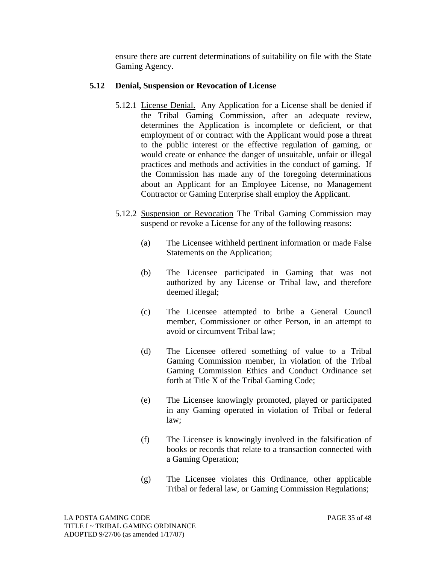ensure there are current determinations of suitability on file with the State Gaming Agency.

#### **5.12 Denial, Suspension or Revocation of License**

- 5.12.1 License Denial. Any Application for a License shall be denied if the Tribal Gaming Commission, after an adequate review, determines the Application is incomplete or deficient, or that employment of or contract with the Applicant would pose a threat to the public interest or the effective regulation of gaming, or would create or enhance the danger of unsuitable, unfair or illegal practices and methods and activities in the conduct of gaming. If the Commission has made any of the foregoing determinations about an Applicant for an Employee License, no Management Contractor or Gaming Enterprise shall employ the Applicant.
- 5.12.2 Suspension or Revocation The Tribal Gaming Commission may suspend or revoke a License for any of the following reasons:
	- (a) The Licensee withheld pertinent information or made False Statements on the Application;
	- (b) The Licensee participated in Gaming that was not authorized by any License or Tribal law, and therefore deemed illegal;
	- (c) The Licensee attempted to bribe a General Council member, Commissioner or other Person, in an attempt to avoid or circumvent Tribal law;
	- (d) The Licensee offered something of value to a Tribal Gaming Commission member, in violation of the Tribal Gaming Commission Ethics and Conduct Ordinance set forth at Title X of the Tribal Gaming Code;
	- (e) The Licensee knowingly promoted, played or participated in any Gaming operated in violation of Tribal or federal law;
	- (f) The Licensee is knowingly involved in the falsification of books or records that relate to a transaction connected with a Gaming Operation;
	- (g) The Licensee violates this Ordinance, other applicable Tribal or federal law, or Gaming Commission Regulations;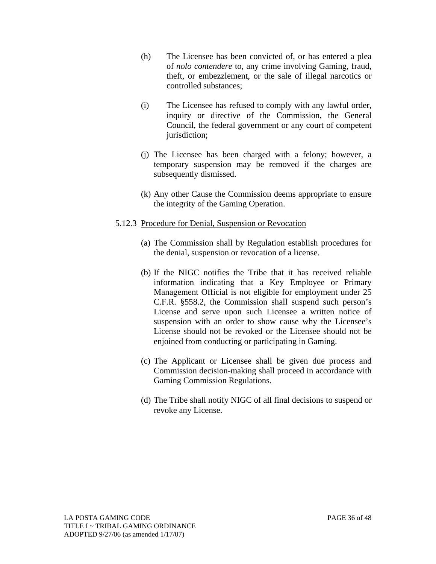- (h) The Licensee has been convicted of, or has entered a plea of *nolo contendere* to, any crime involving Gaming, fraud, theft, or embezzlement, or the sale of illegal narcotics or controlled substances;
- (i) The Licensee has refused to comply with any lawful order, inquiry or directive of the Commission, the General Council, the federal government or any court of competent jurisdiction;
- (j) The Licensee has been charged with a felony; however, a temporary suspension may be removed if the charges are subsequently dismissed.
- (k) Any other Cause the Commission deems appropriate to ensure the integrity of the Gaming Operation.

#### 5.12.3 Procedure for Denial, Suspension or Revocation

- (a) The Commission shall by Regulation establish procedures for the denial, suspension or revocation of a license.
- (b) If the NIGC notifies the Tribe that it has received reliable information indicating that a Key Employee or Primary Management Official is not eligible for employment under 25 C.F.R. §558.2, the Commission shall suspend such person's License and serve upon such Licensee a written notice of suspension with an order to show cause why the Licensee's License should not be revoked or the Licensee should not be enjoined from conducting or participating in Gaming.
- (c) The Applicant or Licensee shall be given due process and Commission decision-making shall proceed in accordance with Gaming Commission Regulations.
- (d) The Tribe shall notify NIGC of all final decisions to suspend or revoke any License.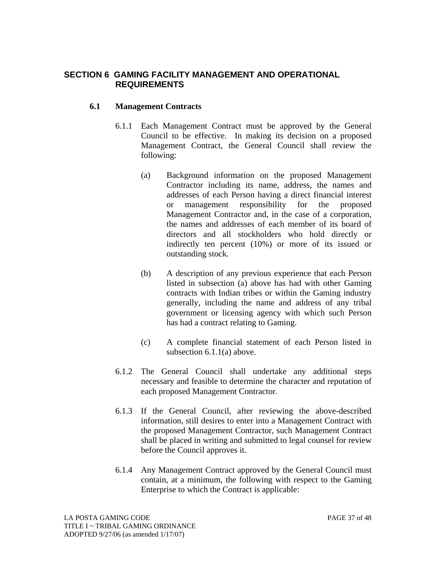# **SECTION 6 GAMING FACILITY MANAGEMENT AND OPERATIONAL REQUIREMENTS**

#### **6.1 Management Contracts**

- 6.1.1 Each Management Contract must be approved by the General Council to be effective. In making its decision on a proposed Management Contract, the General Council shall review the following:
	- (a) Background information on the proposed Management Contractor including its name, address, the names and addresses of each Person having a direct financial interest or management responsibility for the proposed Management Contractor and, in the case of a corporation, the names and addresses of each member of its board of directors and all stockholders who hold directly or indirectly ten percent (10%) or more of its issued or outstanding stock.
	- (b) A description of any previous experience that each Person listed in subsection (a) above has had with other Gaming contracts with Indian tribes or within the Gaming industry generally, including the name and address of any tribal government or licensing agency with which such Person has had a contract relating to Gaming.
	- (c) A complete financial statement of each Person listed in subsection 6.1.1(a) above.
- 6.1.2 The General Council shall undertake any additional steps necessary and feasible to determine the character and reputation of each proposed Management Contractor.
- 6.1.3 If the General Council, after reviewing the above-described information, still desires to enter into a Management Contract with the proposed Management Contractor, such Management Contract shall be placed in writing and submitted to legal counsel for review before the Council approves it.
- 6.1.4 Any Management Contract approved by the General Council must contain, at a minimum, the following with respect to the Gaming Enterprise to which the Contract is applicable: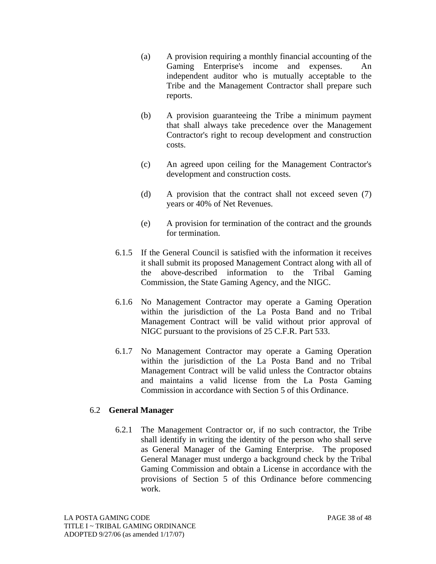- (a) A provision requiring a monthly financial accounting of the Gaming Enterprise's income and expenses. An independent auditor who is mutually acceptable to the Tribe and the Management Contractor shall prepare such reports.
- (b) A provision guaranteeing the Tribe a minimum payment that shall always take precedence over the Management Contractor's right to recoup development and construction costs.
- (c) An agreed upon ceiling for the Management Contractor's development and construction costs.
- (d) A provision that the contract shall not exceed seven (7) years or 40% of Net Revenues.
- (e) A provision for termination of the contract and the grounds for termination.
- 6.1.5 If the General Council is satisfied with the information it receives it shall submit its proposed Management Contract along with all of the above-described information to the Tribal Gaming Commission, the State Gaming Agency, and the NIGC.
- 6.1.6 No Management Contractor may operate a Gaming Operation within the jurisdiction of the La Posta Band and no Tribal Management Contract will be valid without prior approval of NIGC pursuant to the provisions of 25 C.F.R. Part 533.
- 6.1.7 No Management Contractor may operate a Gaming Operation within the jurisdiction of the La Posta Band and no Tribal Management Contract will be valid unless the Contractor obtains and maintains a valid license from the La Posta Gaming Commission in accordance with Section 5 of this Ordinance.

#### 6.2 **General Manager**

6.2.1 The Management Contractor or, if no such contractor, the Tribe shall identify in writing the identity of the person who shall serve as General Manager of the Gaming Enterprise. The proposed General Manager must undergo a background check by the Tribal Gaming Commission and obtain a License in accordance with the provisions of Section 5 of this Ordinance before commencing work.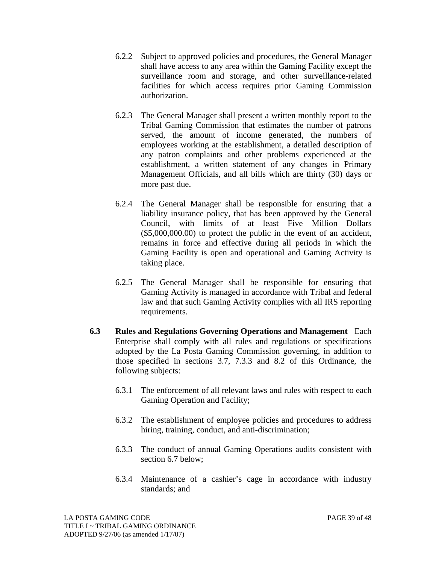- 6.2.2 Subject to approved policies and procedures, the General Manager shall have access to any area within the Gaming Facility except the surveillance room and storage, and other surveillance-related facilities for which access requires prior Gaming Commission authorization.
- 6.2.3 The General Manager shall present a written monthly report to the Tribal Gaming Commission that estimates the number of patrons served, the amount of income generated, the numbers of employees working at the establishment, a detailed description of any patron complaints and other problems experienced at the establishment, a written statement of any changes in Primary Management Officials, and all bills which are thirty (30) days or more past due.
- 6.2.4 The General Manager shall be responsible for ensuring that a liability insurance policy, that has been approved by the General Council, with limits of at least Five Million Dollars (\$5,000,000.00) to protect the public in the event of an accident, remains in force and effective during all periods in which the Gaming Facility is open and operational and Gaming Activity is taking place.
- 6.2.5 The General Manager shall be responsible for ensuring that Gaming Activity is managed in accordance with Tribal and federal law and that such Gaming Activity complies with all IRS reporting requirements.
- **6.3 Rules and Regulations Governing Operations and Management** Each Enterprise shall comply with all rules and regulations or specifications adopted by the La Posta Gaming Commission governing, in addition to those specified in sections 3.7, 7.3.3 and 8.2 of this Ordinance, the following subjects:
	- 6.3.1 The enforcement of all relevant laws and rules with respect to each Gaming Operation and Facility;
	- 6.3.2 The establishment of employee policies and procedures to address hiring, training, conduct, and anti-discrimination;
	- 6.3.3 The conduct of annual Gaming Operations audits consistent with section 6.7 below;
	- 6.3.4 Maintenance of a cashier's cage in accordance with industry standards; and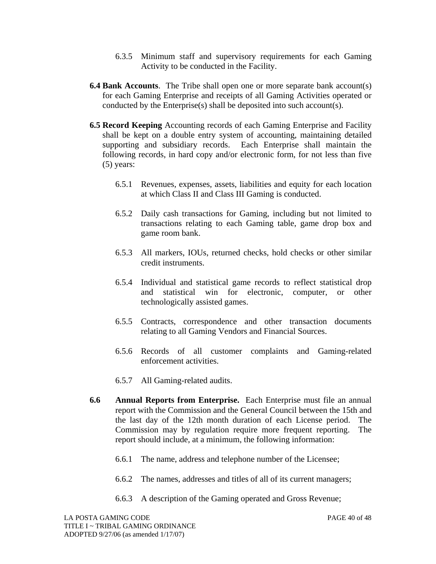- 6.3.5 Minimum staff and supervisory requirements for each Gaming Activity to be conducted in the Facility.
- **6.4 Bank Accounts**. The Tribe shall open one or more separate bank account(s) for each Gaming Enterprise and receipts of all Gaming Activities operated or conducted by the Enterprise(s) shall be deposited into such account(s).
- **6.5 Record Keeping** Accounting records of each Gaming Enterprise and Facility shall be kept on a double entry system of accounting, maintaining detailed supporting and subsidiary records. Each Enterprise shall maintain the following records, in hard copy and/or electronic form, for not less than five (5) years:
	- 6.5.1 Revenues, expenses, assets, liabilities and equity for each location at which Class II and Class III Gaming is conducted.
	- 6.5.2 Daily cash transactions for Gaming, including but not limited to transactions relating to each Gaming table, game drop box and game room bank.
	- 6.5.3 All markers, IOUs, returned checks, hold checks or other similar credit instruments.
	- 6.5.4 Individual and statistical game records to reflect statistical drop and statistical win for electronic, computer, or other technologically assisted games.
	- 6.5.5 Contracts, correspondence and other transaction documents relating to all Gaming Vendors and Financial Sources.
	- 6.5.6 Records of all customer complaints and Gaming-related enforcement activities.
	- 6.5.7 All Gaming-related audits.
- **6.6 Annual Reports from Enterprise.** Each Enterprise must file an annual report with the Commission and the General Council between the 15th and the last day of the 12th month duration of each License period. The Commission may by regulation require more frequent reporting. The report should include, at a minimum, the following information:
	- 6.6.1 The name, address and telephone number of the Licensee;
	- 6.6.2 The names, addresses and titles of all of its current managers;
	- 6.6.3 A description of the Gaming operated and Gross Revenue;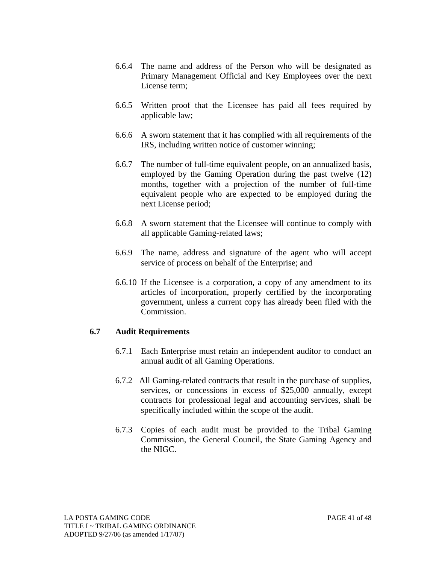- 6.6.4 The name and address of the Person who will be designated as Primary Management Official and Key Employees over the next License term;
- 6.6.5 Written proof that the Licensee has paid all fees required by applicable law;
- 6.6.6 A sworn statement that it has complied with all requirements of the IRS, including written notice of customer winning;
- 6.6.7 The number of full-time equivalent people, on an annualized basis, employed by the Gaming Operation during the past twelve (12) months, together with a projection of the number of full-time equivalent people who are expected to be employed during the next License period;
- 6.6.8 A sworn statement that the Licensee will continue to comply with all applicable Gaming-related laws;
- 6.6.9 The name, address and signature of the agent who will accept service of process on behalf of the Enterprise; and
- 6.6.10 If the Licensee is a corporation, a copy of any amendment to its articles of incorporation, properly certified by the incorporating government, unless a current copy has already been filed with the Commission.

#### **6.7 Audit Requirements**

- 6.7.1 Each Enterprise must retain an independent auditor to conduct an annual audit of all Gaming Operations.
- 6.7.2 All Gaming-related contracts that result in the purchase of supplies, services, or concessions in excess of \$25,000 annually, except contracts for professional legal and accounting services, shall be specifically included within the scope of the audit.
- 6.7.3 Copies of each audit must be provided to the Tribal Gaming Commission, the General Council, the State Gaming Agency and the NIGC.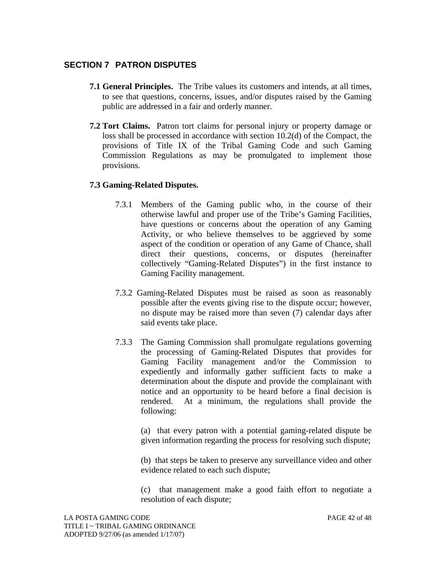# **SECTION 7 PATRON DISPUTES**

- **7.1 General Principles.** The Tribe values its customers and intends, at all times, to see that questions, concerns, issues, and/or disputes raised by the Gaming public are addressed in a fair and orderly manner.
- **7.2 Tort Claims.** Patron tort claims for personal injury or property damage or loss shall be processed in accordance with section 10.2(d) of the Compact, the provisions of Title IX of the Tribal Gaming Code and such Gaming Commission Regulations as may be promulgated to implement those provisions.

#### **7.3 Gaming-Related Disputes.**

- 7.3.1 Members of the Gaming public who, in the course of their otherwise lawful and proper use of the Tribe's Gaming Facilities, have questions or concerns about the operation of any Gaming Activity, or who believe themselves to be aggrieved by some aspect of the condition or operation of any Game of Chance, shall direct their questions, concerns, or disputes (hereinafter collectively "Gaming-Related Disputes") in the first instance to Gaming Facility management.
- 7.3.2 Gaming-Related Disputes must be raised as soon as reasonably possible after the events giving rise to the dispute occur; however, no dispute may be raised more than seven (7) calendar days after said events take place.
- 7.3.3 The Gaming Commission shall promulgate regulations governing the processing of Gaming-Related Disputes that provides for Gaming Facility management and/or the Commission to expediently and informally gather sufficient facts to make a determination about the dispute and provide the complainant with notice and an opportunity to be heard before a final decision is rendered. At a minimum, the regulations shall provide the following:

(a) that every patron with a potential gaming-related dispute be given information regarding the process for resolving such dispute;

(b) that steps be taken to preserve any surveillance video and other evidence related to each such dispute;

(c) that management make a good faith effort to negotiate a resolution of each dispute;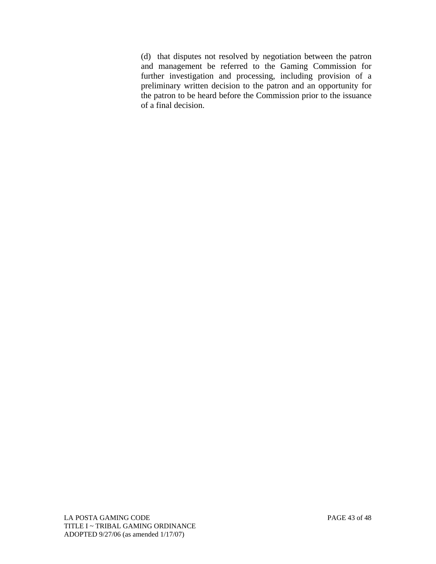(d) that disputes not resolved by negotiation between the patron and management be referred to the Gaming Commission for further investigation and processing, including provision of a preliminary written decision to the patron and an opportunity for the patron to be heard before the Commission prior to the issuance of a final decision.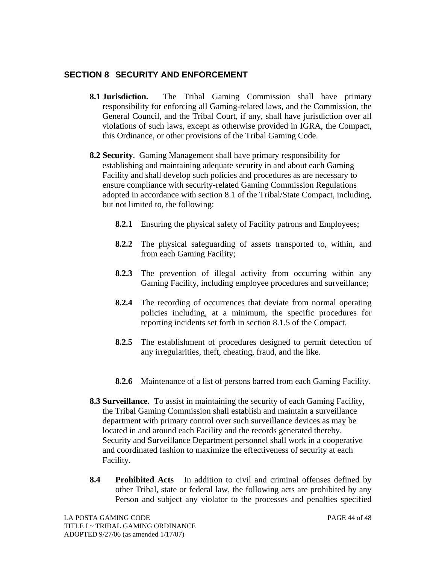# **SECTION 8 SECURITY AND ENFORCEMENT**

- **8.1 Jurisdiction.** The Tribal Gaming Commission shall have primary responsibility for enforcing all Gaming-related laws, and the Commission, the General Council, and the Tribal Court, if any, shall have jurisdiction over all violations of such laws, except as otherwise provided in IGRA, the Compact, this Ordinance, or other provisions of the Tribal Gaming Code.
- **8.2 Security**. Gaming Management shall have primary responsibility for establishing and maintaining adequate security in and about each Gaming Facility and shall develop such policies and procedures as are necessary to ensure compliance with security-related Gaming Commission Regulations adopted in accordance with section 8.1 of the Tribal/State Compact, including, but not limited to, the following:
	- **8.2.1** Ensuring the physical safety of Facility patrons and Employees;
	- **8.2.2** The physical safeguarding of assets transported to, within, and from each Gaming Facility;
	- **8.2.3** The prevention of illegal activity from occurring within any Gaming Facility, including employee procedures and surveillance;
	- **8.2.4** The recording of occurrences that deviate from normal operating policies including, at a minimum, the specific procedures for reporting incidents set forth in section 8.1.5 of the Compact.
	- **8.2.5** The establishment of procedures designed to permit detection of any irregularities, theft, cheating, fraud, and the like.
	- **8.2.6** Maintenance of a list of persons barred from each Gaming Facility.
- **8.3 Surveillance**. To assist in maintaining the security of each Gaming Facility, the Tribal Gaming Commission shall establish and maintain a surveillance department with primary control over such surveillance devices as may be located in and around each Facility and the records generated thereby. Security and Surveillance Department personnel shall work in a cooperative and coordinated fashion to maximize the effectiveness of security at each Facility.
- **8.4 Prohibited Acts** In addition to civil and criminal offenses defined by other Tribal, state or federal law, the following acts are prohibited by any Person and subject any violator to the processes and penalties specified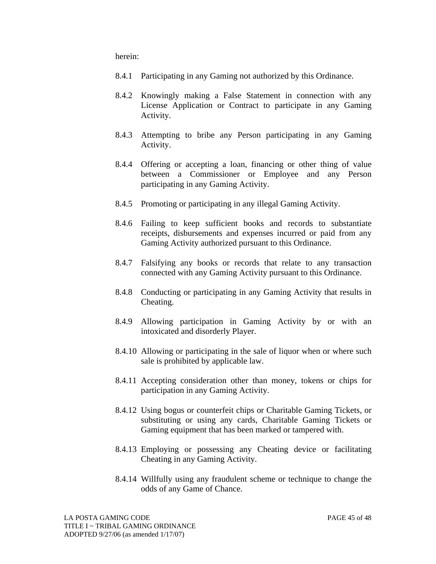herein:

- 8.4.1 Participating in any Gaming not authorized by this Ordinance.
- 8.4.2 Knowingly making a False Statement in connection with any License Application or Contract to participate in any Gaming Activity.
- 8.4.3 Attempting to bribe any Person participating in any Gaming Activity.
- 8.4.4 Offering or accepting a loan, financing or other thing of value between a Commissioner or Employee and any Person participating in any Gaming Activity.
- 8.4.5 Promoting or participating in any illegal Gaming Activity.
- 8.4.6 Failing to keep sufficient books and records to substantiate receipts, disbursements and expenses incurred or paid from any Gaming Activity authorized pursuant to this Ordinance.
- 8.4.7 Falsifying any books or records that relate to any transaction connected with any Gaming Activity pursuant to this Ordinance.
- 8.4.8 Conducting or participating in any Gaming Activity that results in Cheating.
- 8.4.9 Allowing participation in Gaming Activity by or with an intoxicated and disorderly Player.
- 8.4.10 Allowing or participating in the sale of liquor when or where such sale is prohibited by applicable law.
- 8.4.11 Accepting consideration other than money, tokens or chips for participation in any Gaming Activity.
- 8.4.12 Using bogus or counterfeit chips or Charitable Gaming Tickets, or substituting or using any cards, Charitable Gaming Tickets or Gaming equipment that has been marked or tampered with.
- 8.4.13 Employing or possessing any Cheating device or facilitating Cheating in any Gaming Activity.
- 8.4.14 Willfully using any fraudulent scheme or technique to change the odds of any Game of Chance.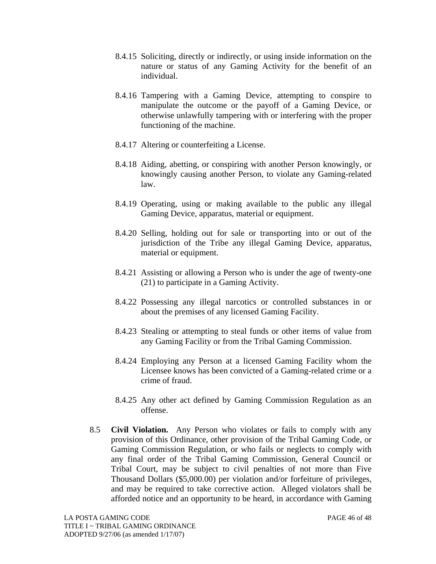- 8.4.15 Soliciting, directly or indirectly, or using inside information on the nature or status of any Gaming Activity for the benefit of an individual.
- 8.4.16 Tampering with a Gaming Device, attempting to conspire to manipulate the outcome or the payoff of a Gaming Device, or otherwise unlawfully tampering with or interfering with the proper functioning of the machine.
- 8.4.17 Altering or counterfeiting a License.
- 8.4.18 Aiding, abetting, or conspiring with another Person knowingly, or knowingly causing another Person, to violate any Gaming-related law.
- 8.4.19 Operating, using or making available to the public any illegal Gaming Device, apparatus, material or equipment.
- 8.4.20 Selling, holding out for sale or transporting into or out of the jurisdiction of the Tribe any illegal Gaming Device, apparatus, material or equipment.
- 8.4.21 Assisting or allowing a Person who is under the age of twenty-one (21) to participate in a Gaming Activity.
- 8.4.22 Possessing any illegal narcotics or controlled substances in or about the premises of any licensed Gaming Facility.
- 8.4.23 Stealing or attempting to steal funds or other items of value from any Gaming Facility or from the Tribal Gaming Commission.
- 8.4.24 Employing any Person at a licensed Gaming Facility whom the Licensee knows has been convicted of a Gaming-related crime or a crime of fraud.
- 8.4.25 Any other act defined by Gaming Commission Regulation as an offense.
- 8.5 **Civil Violation.** Any Person who violates or fails to comply with any provision of this Ordinance, other provision of the Tribal Gaming Code, or Gaming Commission Regulation, or who fails or neglects to comply with any final order of the Tribal Gaming Commission, General Council or Tribal Court, may be subject to civil penalties of not more than Five Thousand Dollars (\$5,000.00) per violation and/or forfeiture of privileges, and may be required to take corrective action. Alleged violators shall be afforded notice and an opportunity to be heard, in accordance with Gaming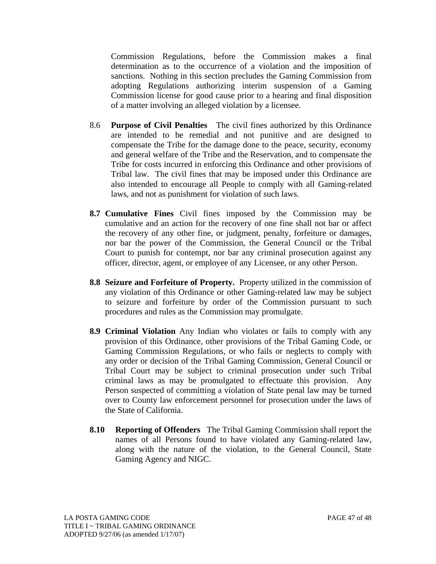Commission Regulations, before the Commission makes a final determination as to the occurrence of a violation and the imposition of sanctions. Nothing in this section precludes the Gaming Commission from adopting Regulations authorizing interim suspension of a Gaming Commission license for good cause prior to a hearing and final disposition of a matter involving an alleged violation by a licensee.

- 8.6 **Purpose of Civil Penalties** The civil fines authorized by this Ordinance are intended to be remedial and not punitive and are designed to compensate the Tribe for the damage done to the peace, security, economy and general welfare of the Tribe and the Reservation, and to compensate the Tribe for costs incurred in enforcing this Ordinance and other provisions of Tribal law. The civil fines that may be imposed under this Ordinance are also intended to encourage all People to comply with all Gaming-related laws, and not as punishment for violation of such laws.
- **8.7 Cumulative Fines** Civil fines imposed by the Commission may be cumulative and an action for the recovery of one fine shall not bar or affect the recovery of any other fine, or judgment, penalty, forfeiture or damages, nor bar the power of the Commission, the General Council or the Tribal Court to punish for contempt, nor bar any criminal prosecution against any officer, director, agent, or employee of any Licensee, or any other Person.
- **8.8 Seizure and Forfeiture of Property.** Property utilized in the commission of any violation of this Ordinance or other Gaming-related law may be subject to seizure and forfeiture by order of the Commission pursuant to such procedures and rules as the Commission may promulgate.
- **8.9 Criminal Violation** Any Indian who violates or fails to comply with any provision of this Ordinance, other provisions of the Tribal Gaming Code, or Gaming Commission Regulations, or who fails or neglects to comply with any order or decision of the Tribal Gaming Commission, General Council or Tribal Court may be subject to criminal prosecution under such Tribal criminal laws as may be promulgated to effectuate this provision. Any Person suspected of committing a violation of State penal law may be turned over to County law enforcement personnel for prosecution under the laws of the State of California.
- **8.10 Reporting of Offenders** The Tribal Gaming Commission shall report the names of all Persons found to have violated any Gaming-related law, along with the nature of the violation, to the General Council, State Gaming Agency and NIGC.